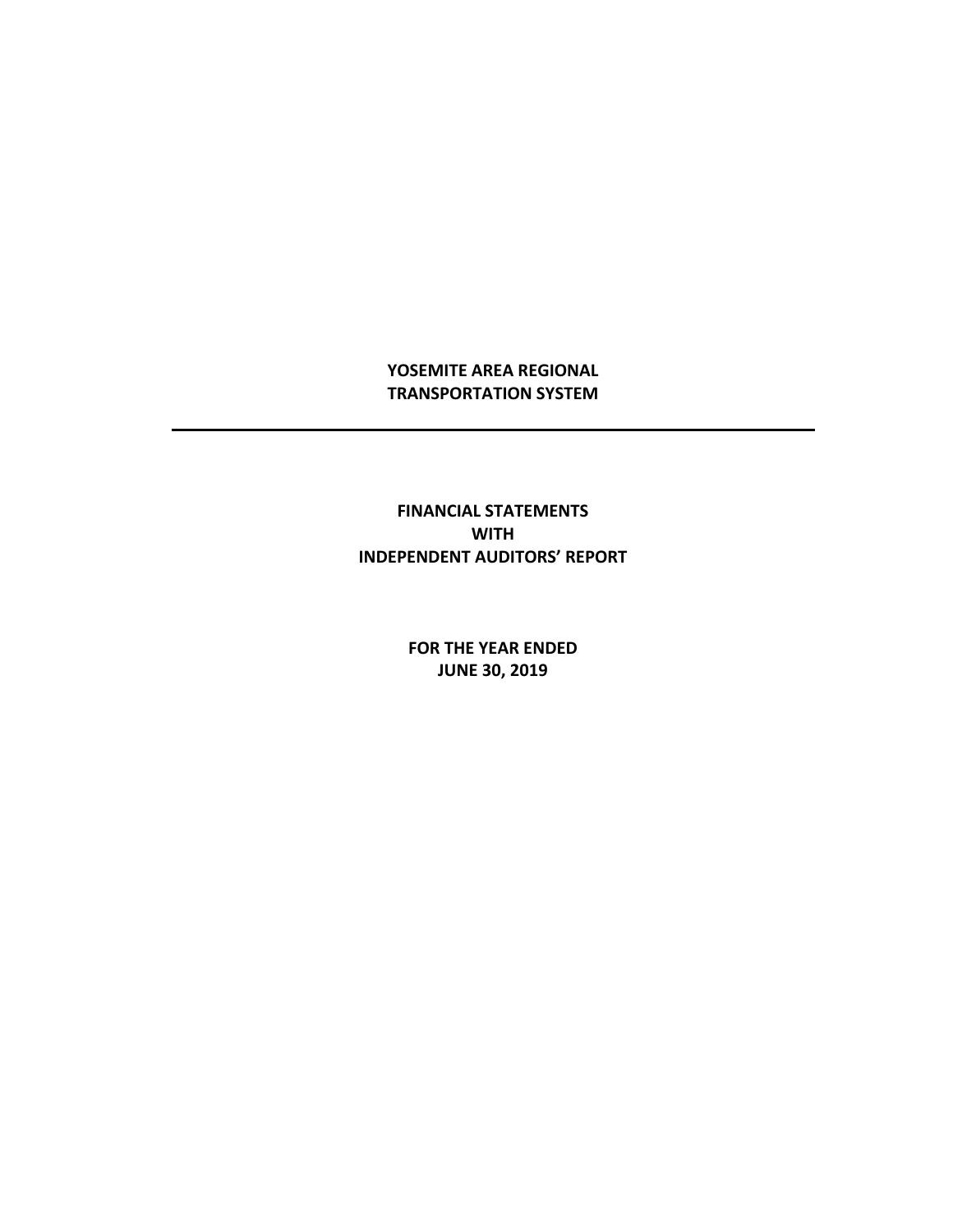# **YOSEMITE AREA REGIONAL TRANSPORTATION SYSTEM**

**FINANCIAL STATEMENTS WITH INDEPENDENT AUDITORS' REPORT**

> **FOR THE YEAR ENDED JUNE 30, 2019**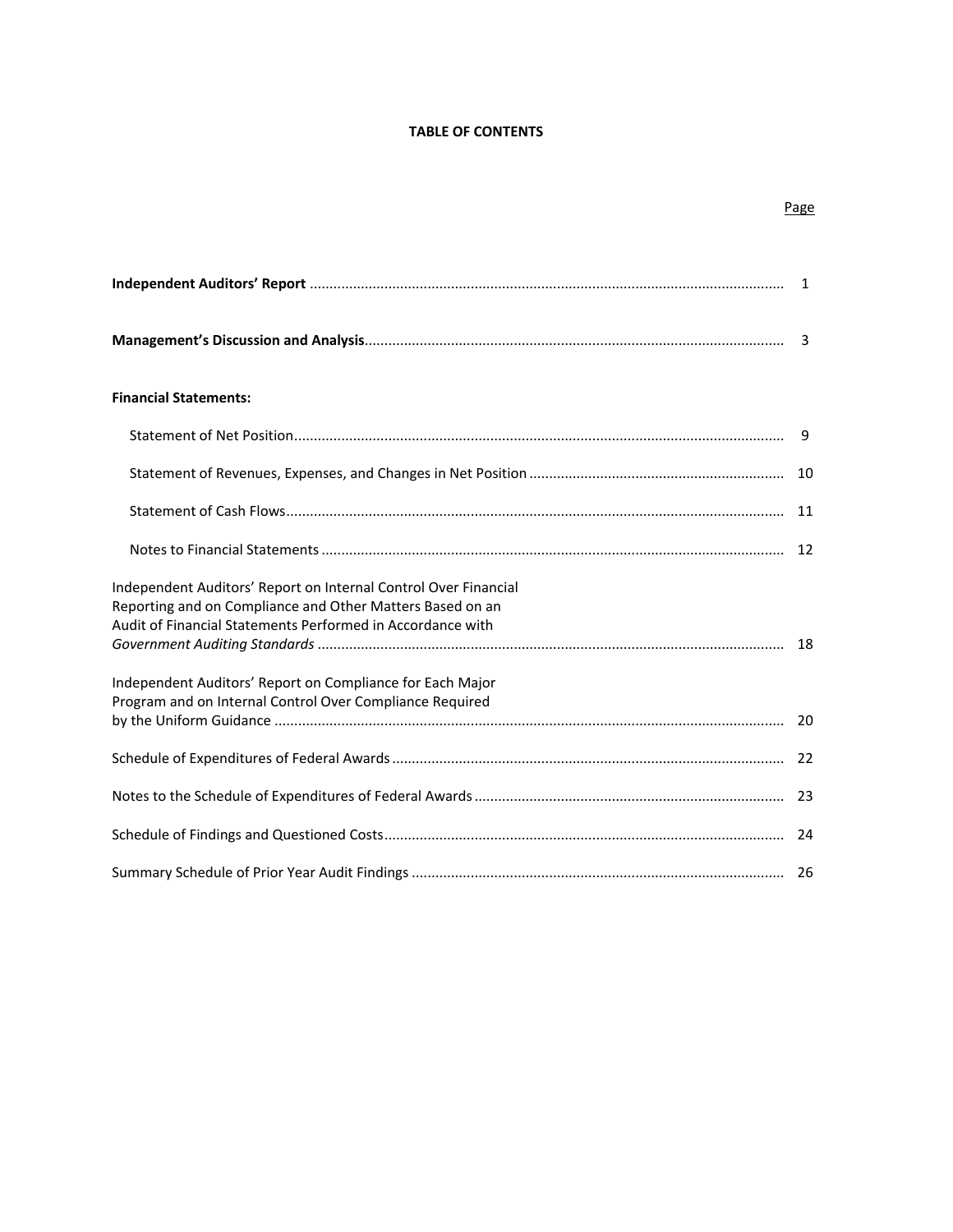## **TABLE OF CONTENTS**

Page

| <b>Financial Statements:</b>                                                                                                                                                               |  |
|--------------------------------------------------------------------------------------------------------------------------------------------------------------------------------------------|--|
|                                                                                                                                                                                            |  |
|                                                                                                                                                                                            |  |
|                                                                                                                                                                                            |  |
|                                                                                                                                                                                            |  |
| Independent Auditors' Report on Internal Control Over Financial<br>Reporting and on Compliance and Other Matters Based on an<br>Audit of Financial Statements Performed in Accordance with |  |
| Independent Auditors' Report on Compliance for Each Major<br>Program and on Internal Control Over Compliance Required                                                                      |  |
|                                                                                                                                                                                            |  |
|                                                                                                                                                                                            |  |
|                                                                                                                                                                                            |  |
|                                                                                                                                                                                            |  |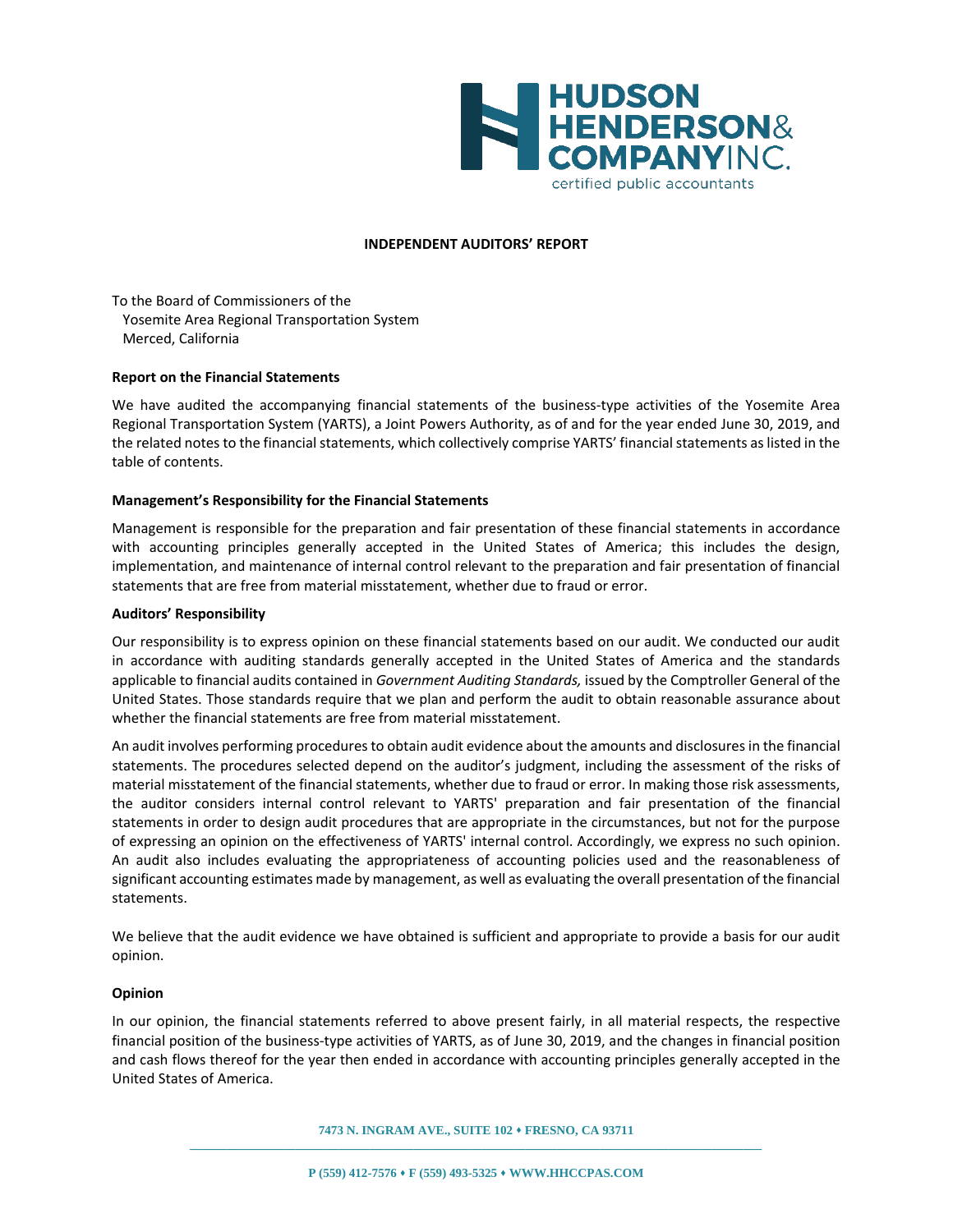

#### **INDEPENDENT AUDITORS' REPORT**

To the Board of Commissioners of the Yosemite Area Regional Transportation System Merced, California

#### **Report on the Financial Statements**

We have audited the accompanying financial statements of the business-type activities of the Yosemite Area Regional Transportation System (YARTS), a Joint Powers Authority, as of and for the year ended June 30, 2019, and the related notes to the financial statements, which collectively comprise YARTS' financial statements as listed in the table of contents.

#### **Management's Responsibility for the Financial Statements**

Management is responsible for the preparation and fair presentation of these financial statements in accordance with accounting principles generally accepted in the United States of America; this includes the design, implementation, and maintenance of internal control relevant to the preparation and fair presentation of financial statements that are free from material misstatement, whether due to fraud or error.

#### **Auditors' Responsibility**

Our responsibility is to express opinion on these financial statements based on our audit. We conducted our audit in accordance with auditing standards generally accepted in the United States of America and the standards applicable to financial audits contained in *Government Auditing Standards,* issued by the Comptroller General of the United States. Those standards require that we plan and perform the audit to obtain reasonable assurance about whether the financial statements are free from material misstatement.

An audit involves performing procedures to obtain audit evidence about the amounts and disclosures in the financial statements. The procedures selected depend on the auditor's judgment, including the assessment of the risks of material misstatement of the financial statements, whether due to fraud or error. In making those risk assessments, the auditor considers internal control relevant to YARTS' preparation and fair presentation of the financial statements in order to design audit procedures that are appropriate in the circumstances, but not for the purpose of expressing an opinion on the effectiveness of YARTS' internal control. Accordingly, we express no such opinion. An audit also includes evaluating the appropriateness of accounting policies used and the reasonableness of significant accounting estimates made by management, as well as evaluating the overall presentation of the financial statements.

We believe that the audit evidence we have obtained is sufficient and appropriate to provide a basis for our audit opinion.

#### **Opinion**

In our opinion, the financial statements referred to above present fairly, in all material respects, the respective financial position of the business-type activities of YARTS, as of June 30, 2019, and the changes in financial position and cash flows thereof for the year then ended in accordance with accounting principles generally accepted in the United States of America.

> **7473 N. INGRAM AVE., SUITE 102** ⬧ **FRESNO, CA 93711 \_\_\_\_\_\_\_\_\_\_\_\_\_\_\_\_\_\_\_\_\_\_\_\_\_\_\_\_\_\_\_\_\_\_\_\_\_\_\_\_\_\_\_\_\_\_\_\_\_\_\_\_\_\_\_\_\_\_\_\_\_\_\_\_\_\_\_\_\_\_\_\_\_\_\_\_\_\_\_\_\_\_\_\_\_\_\_\_\_\_\_\_**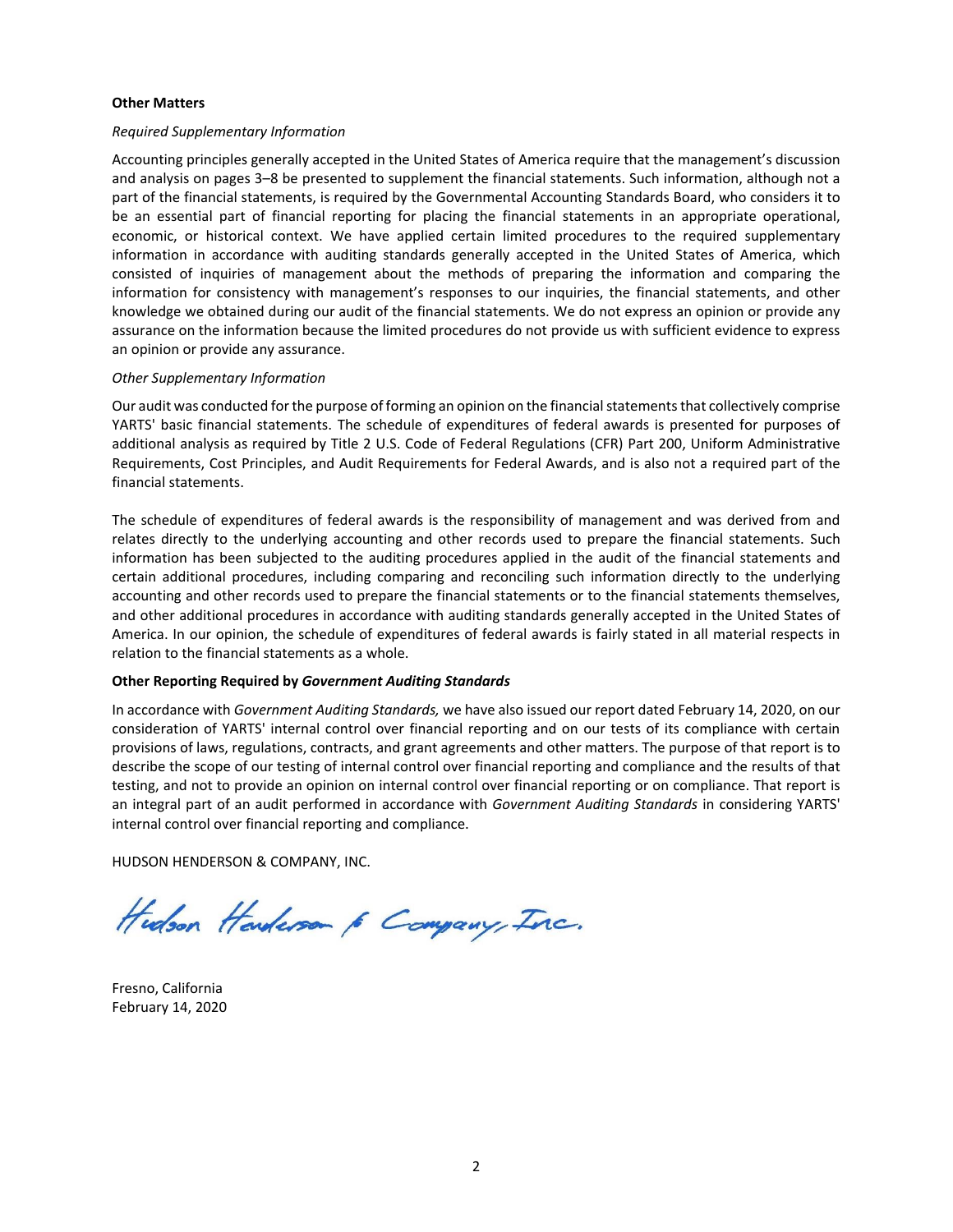#### **Other Matters**

#### *Required Supplementary Information*

Accounting principles generally accepted in the United States of America require that the management's discussion and analysis on pages 3–8 be presented to supplement the financial statements. Such information, although not a part of the financial statements, is required by the Governmental Accounting Standards Board, who considers it to be an essential part of financial reporting for placing the financial statements in an appropriate operational, economic, or historical context. We have applied certain limited procedures to the required supplementary information in accordance with auditing standards generally accepted in the United States of America, which consisted of inquiries of management about the methods of preparing the information and comparing the information for consistency with management's responses to our inquiries, the financial statements, and other knowledge we obtained during our audit of the financial statements. We do not express an opinion or provide any assurance on the information because the limited procedures do not provide us with sufficient evidence to express an opinion or provide any assurance.

#### *Other Supplementary Information*

Our audit was conducted for the purpose of forming an opinion on the financial statements that collectively comprise YARTS' basic financial statements. The schedule of expenditures of federal awards is presented for purposes of additional analysis as required by Title 2 U.S. Code of Federal Regulations (CFR) Part 200, Uniform Administrative Requirements, Cost Principles, and Audit Requirements for Federal Awards, and is also not a required part of the financial statements.

The schedule of expenditures of federal awards is the responsibility of management and was derived from and relates directly to the underlying accounting and other records used to prepare the financial statements. Such information has been subjected to the auditing procedures applied in the audit of the financial statements and certain additional procedures, including comparing and reconciling such information directly to the underlying accounting and other records used to prepare the financial statements or to the financial statements themselves, and other additional procedures in accordance with auditing standards generally accepted in the United States of America. In our opinion, the schedule of expenditures of federal awards is fairly stated in all material respects in relation to the financial statements as a whole.

#### **Other Reporting Required by** *Government Auditing Standards*

In accordance with *Government Auditing Standards,* we have also issued our report dated February 14, 2020, on our consideration of YARTS' internal control over financial reporting and on our tests of its compliance with certain provisions of laws, regulations, contracts, and grant agreements and other matters. The purpose of that report is to describe the scope of our testing of internal control over financial reporting and compliance and the results of that testing, and not to provide an opinion on internal control over financial reporting or on compliance. That report is an integral part of an audit performed in accordance with *Government Auditing Standards* in considering YARTS' internal control over financial reporting and compliance.

HUDSON HENDERSON & COMPANY, INC.

Hudson Handerson & Company, Inc.

Fresno, California February 14, 2020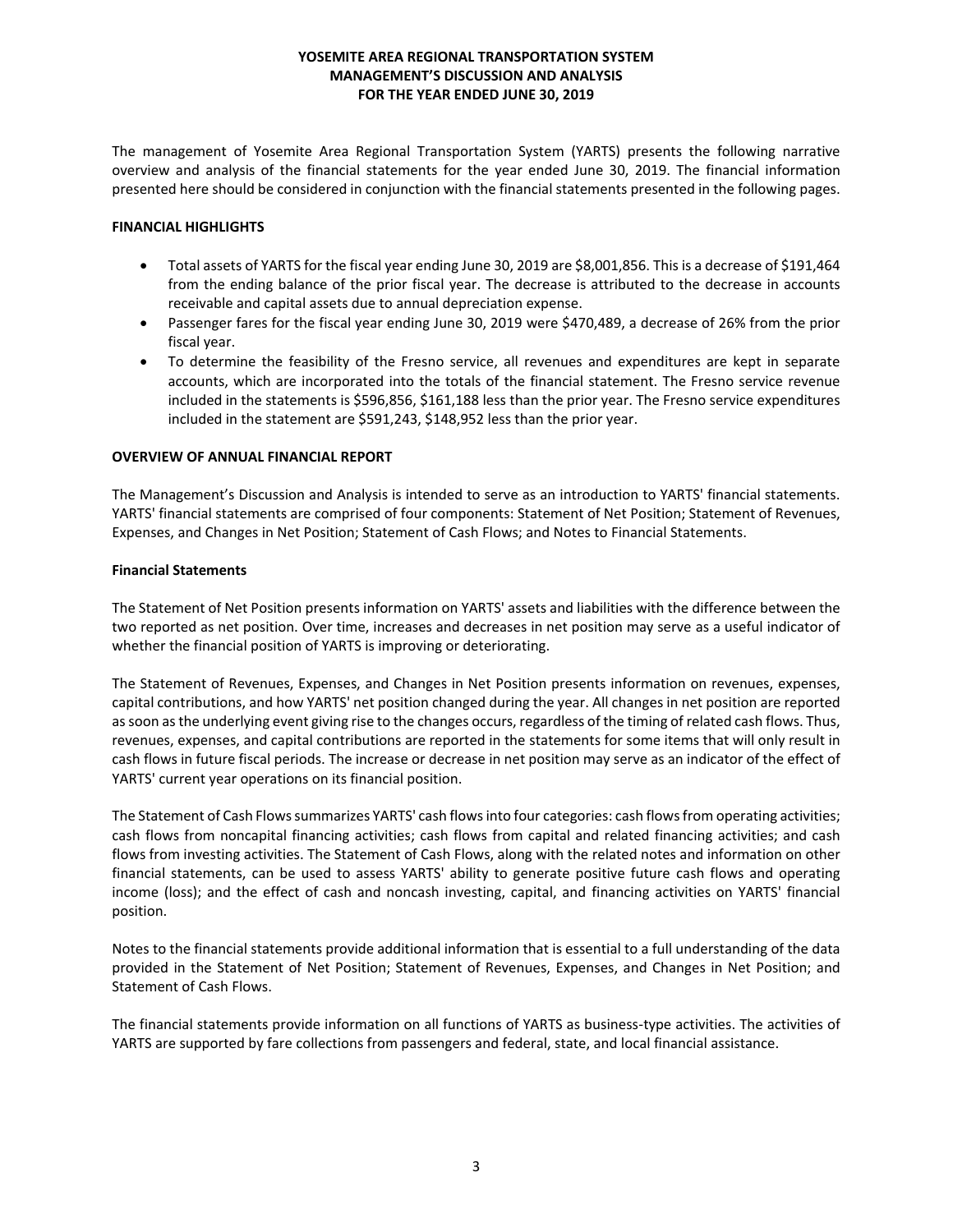The management of Yosemite Area Regional Transportation System (YARTS) presents the following narrative overview and analysis of the financial statements for the year ended June 30, 2019. The financial information presented here should be considered in conjunction with the financial statements presented in the following pages.

### **FINANCIAL HIGHLIGHTS**

- Total assets of YARTS for the fiscal year ending June 30, 2019 are \$8,001,856. This is a decrease of \$191,464 from the ending balance of the prior fiscal year. The decrease is attributed to the decrease in accounts receivable and capital assets due to annual depreciation expense.
- Passenger fares for the fiscal year ending June 30, 2019 were \$470,489, a decrease of 26% from the prior fiscal year.
- To determine the feasibility of the Fresno service, all revenues and expenditures are kept in separate accounts, which are incorporated into the totals of the financial statement. The Fresno service revenue included in the statements is \$596,856, \$161,188 less than the prior year. The Fresno service expenditures included in the statement are \$591,243, \$148,952 less than the prior year.

#### **OVERVIEW OF ANNUAL FINANCIAL REPORT**

The Management's Discussion and Analysis is intended to serve as an introduction to YARTS' financial statements. YARTS' financial statements are comprised of four components: Statement of Net Position; Statement of Revenues, Expenses, and Changes in Net Position; Statement of Cash Flows; and Notes to Financial Statements.

#### **Financial Statements**

The Statement of Net Position presents information on YARTS' assets and liabilities with the difference between the two reported as net position. Over time, increases and decreases in net position may serve as a useful indicator of whether the financial position of YARTS is improving or deteriorating.

The Statement of Revenues, Expenses, and Changes in Net Position presents information on revenues, expenses, capital contributions, and how YARTS' net position changed during the year. All changes in net position are reported as soon as the underlying event giving rise to the changes occurs, regardless of the timing of related cash flows. Thus, revenues, expenses, and capital contributions are reported in the statements for some items that will only result in cash flows in future fiscal periods. The increase or decrease in net position may serve as an indicator of the effect of YARTS' current year operations on its financial position.

The Statement of Cash Flows summarizes YARTS' cash flows into four categories: cash flowsfrom operating activities; cash flows from noncapital financing activities; cash flows from capital and related financing activities; and cash flows from investing activities. The Statement of Cash Flows, along with the related notes and information on other financial statements, can be used to assess YARTS' ability to generate positive future cash flows and operating income (loss); and the effect of cash and noncash investing, capital, and financing activities on YARTS' financial position.

Notes to the financial statements provide additional information that is essential to a full understanding of the data provided in the Statement of Net Position; Statement of Revenues, Expenses, and Changes in Net Position; and Statement of Cash Flows.

The financial statements provide information on all functions of YARTS as business-type activities. The activities of YARTS are supported by fare collections from passengers and federal, state, and local financial assistance.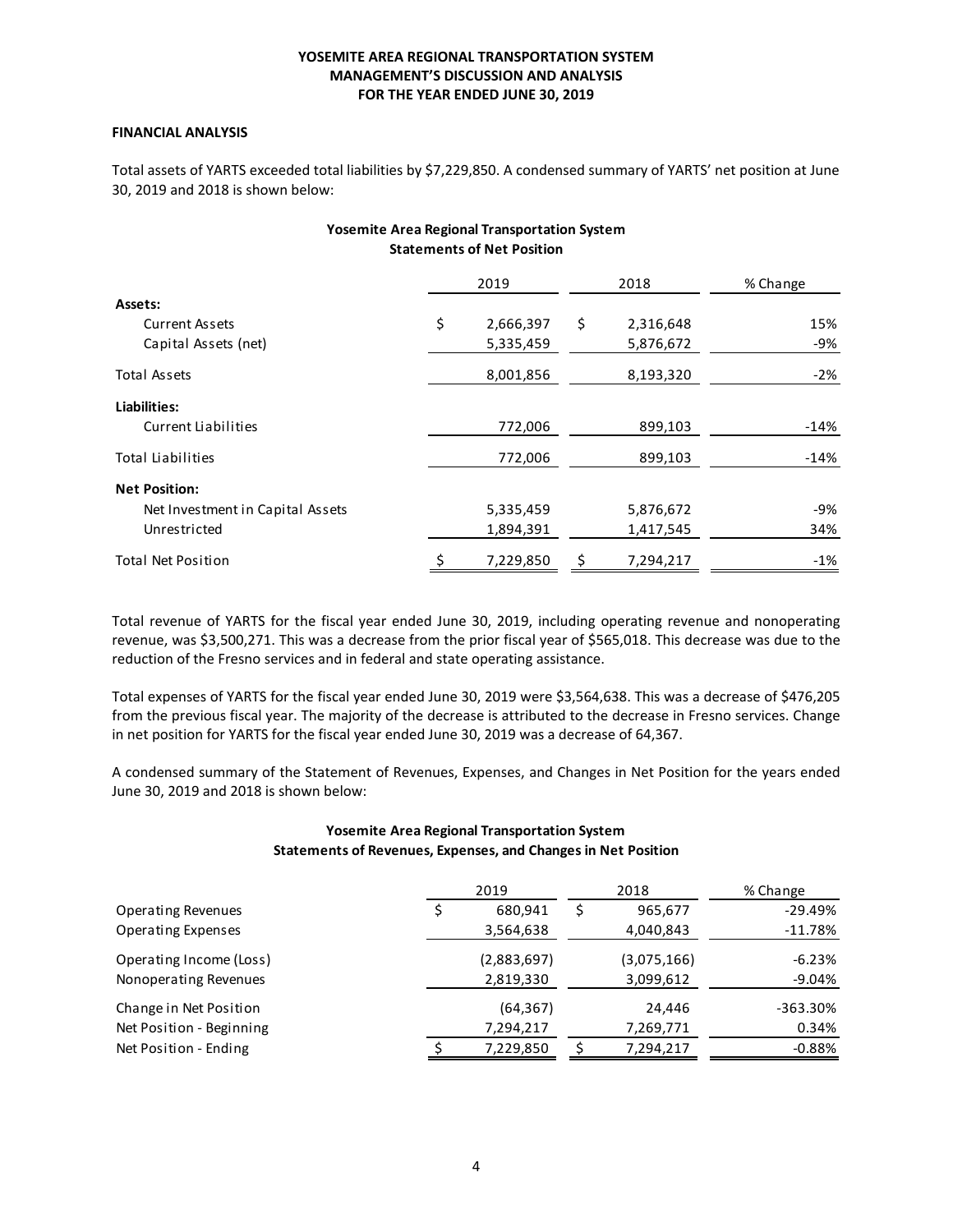### **FINANCIAL ANALYSIS**

Total assets of YARTS exceeded total liabilities by \$7,229,850. A condensed summary of YARTS' net position at June 30, 2019 and 2018 is shown below:

## **Yosemite Area Regional Transportation System Statements of Net Position**

|                                  | 2019            | 2018 |           | % Change |
|----------------------------------|-----------------|------|-----------|----------|
| Assets:                          |                 |      |           |          |
| <b>Current Assets</b>            | \$<br>2,666,397 | \$   | 2,316,648 | 15%      |
| Capital Assets (net)             | 5,335,459       |      | 5,876,672 | -9%      |
| <b>Total Assets</b>              | 8,001,856       |      | 8,193,320 | $-2%$    |
| Liabilities:                     |                 |      |           |          |
| Current Liabilities              | 772,006         |      | 899,103   | $-14%$   |
| Total Liabilities                | 772,006         |      | 899,103   | $-14%$   |
| <b>Net Position:</b>             |                 |      |           |          |
| Net Investment in Capital Assets | 5,335,459       |      | 5,876,672 | -9%      |
| Unrestricted                     | 1,894,391       |      | 1,417,545 | 34%      |
| Total Net Position               | 7,229,850       | \$   | 7,294,217 | -1%      |

Total revenue of YARTS for the fiscal year ended June 30, 2019, including operating revenue and nonoperating revenue, was \$3,500,271. This was a decrease from the prior fiscal year of \$565,018. This decrease was due to the reduction of the Fresno services and in federal and state operating assistance.

Total expenses of YARTS for the fiscal year ended June 30, 2019 were \$3,564,638. This was a decrease of \$476,205 from the previous fiscal year. The majority of the decrease is attributed to the decrease in Fresno services. Change in net position for YARTS for the fiscal year ended June 30, 2019 was a decrease of 64,367.

A condensed summary of the Statement of Revenues, Expenses, and Changes in Net Position for the years ended June 30, 2019 and 2018 is shown below:

### **Yosemite Area Regional Transportation System Statements of Revenues, Expenses, and Changes in Net Position**

|                           | 2019        |  | 2018        | % Change    |
|---------------------------|-------------|--|-------------|-------------|
| <b>Operating Revenues</b> | 680.941     |  | 965,677     | $-29.49%$   |
| Operating Expenses        | 3,564,638   |  | 4,040,843   | $-11.78%$   |
| Operating Income (Loss)   | (2,883,697) |  | (3,075,166) | $-6.23%$    |
| Nonoperating Revenues     | 2,819,330   |  | 3,099,612   | -9.04%      |
| Change in Net Position    | (64, 367)   |  | 24.446      | $-363.30\%$ |
| Net Position - Beginning  | 7,294,217   |  | 7,269,771   | 0.34%       |
| Net Position - Ending     | 7,229,850   |  | 7,294,217   | $-0.88%$    |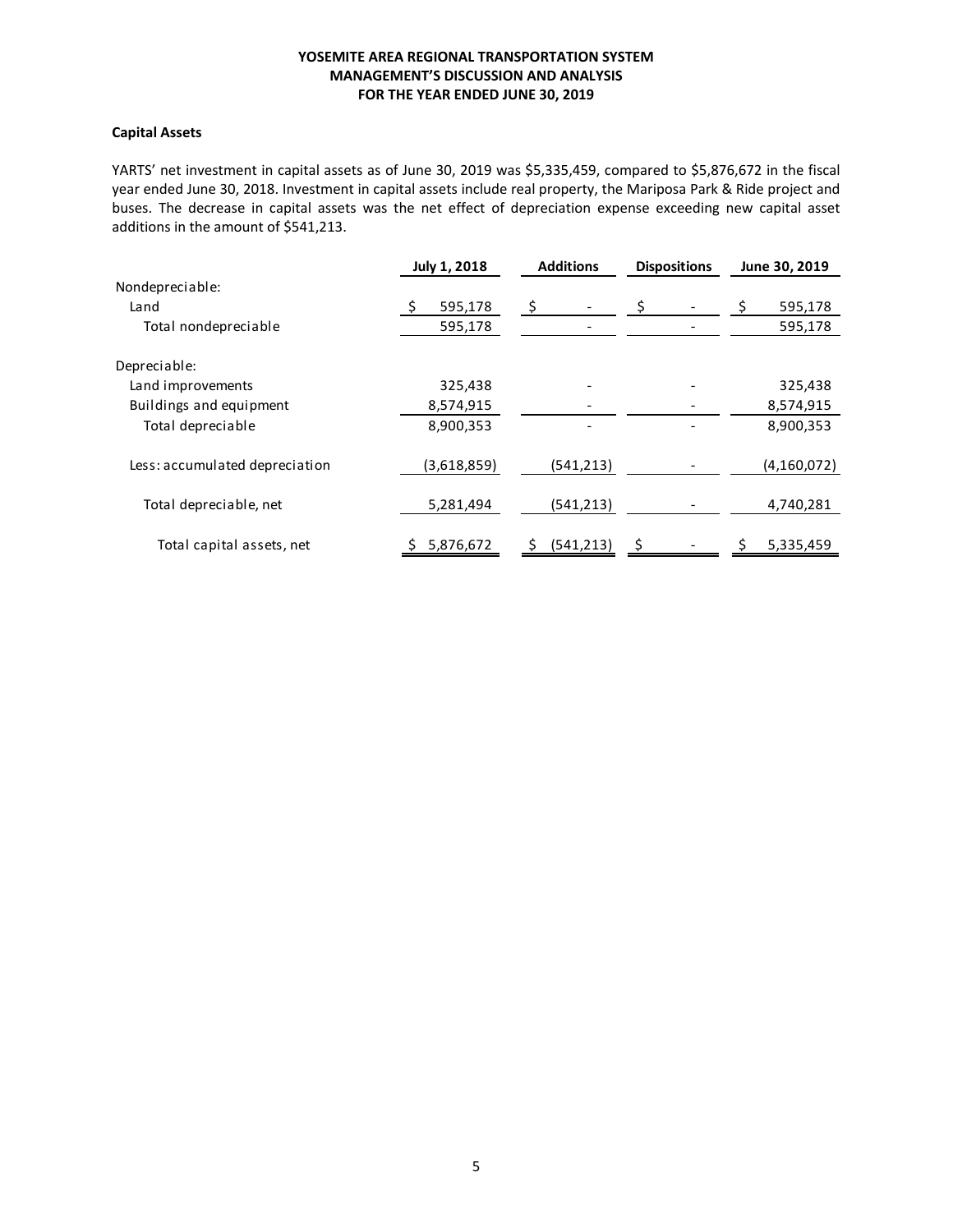### **Capital Assets**

YARTS' net investment in capital assets as of June 30, 2019 was \$5,335,459, compared to \$5,876,672 in the fiscal year ended June 30, 2018. Investment in capital assets include real property, the Mariposa Park & Ride project and buses. The decrease in capital assets was the net effect of depreciation expense exceeding new capital asset additions in the amount of \$541,213.

|                                | July 1, 2018  | <b>Additions</b> | <b>Dispositions</b> | June 30, 2019  |
|--------------------------------|---------------|------------------|---------------------|----------------|
| Nondepreciable:                |               |                  |                     |                |
| Land                           | \$<br>595,178 | \$,              | \$                  | \$<br>595,178  |
| Total nondepreciable           | 595,178       |                  |                     | 595,178        |
| Depreciable:                   |               |                  |                     |                |
| Land improvements              | 325,438       |                  |                     | 325,438        |
| Buildings and equipment        | 8,574,915     |                  |                     | 8,574,915      |
| Total depreciable              | 8,900,353     |                  |                     | 8,900,353      |
| Less: accumulated depreciation | (3,618,859)   | (541, 213)       |                     | (4, 160, 072)  |
| Total depreciable, net         | 5,281,494     | (541, 213)       |                     | 4,740,281      |
| Total capital assets, net      | 5,876,672     | (541, 213)<br>S  | \$                  | 5,335,459<br>S |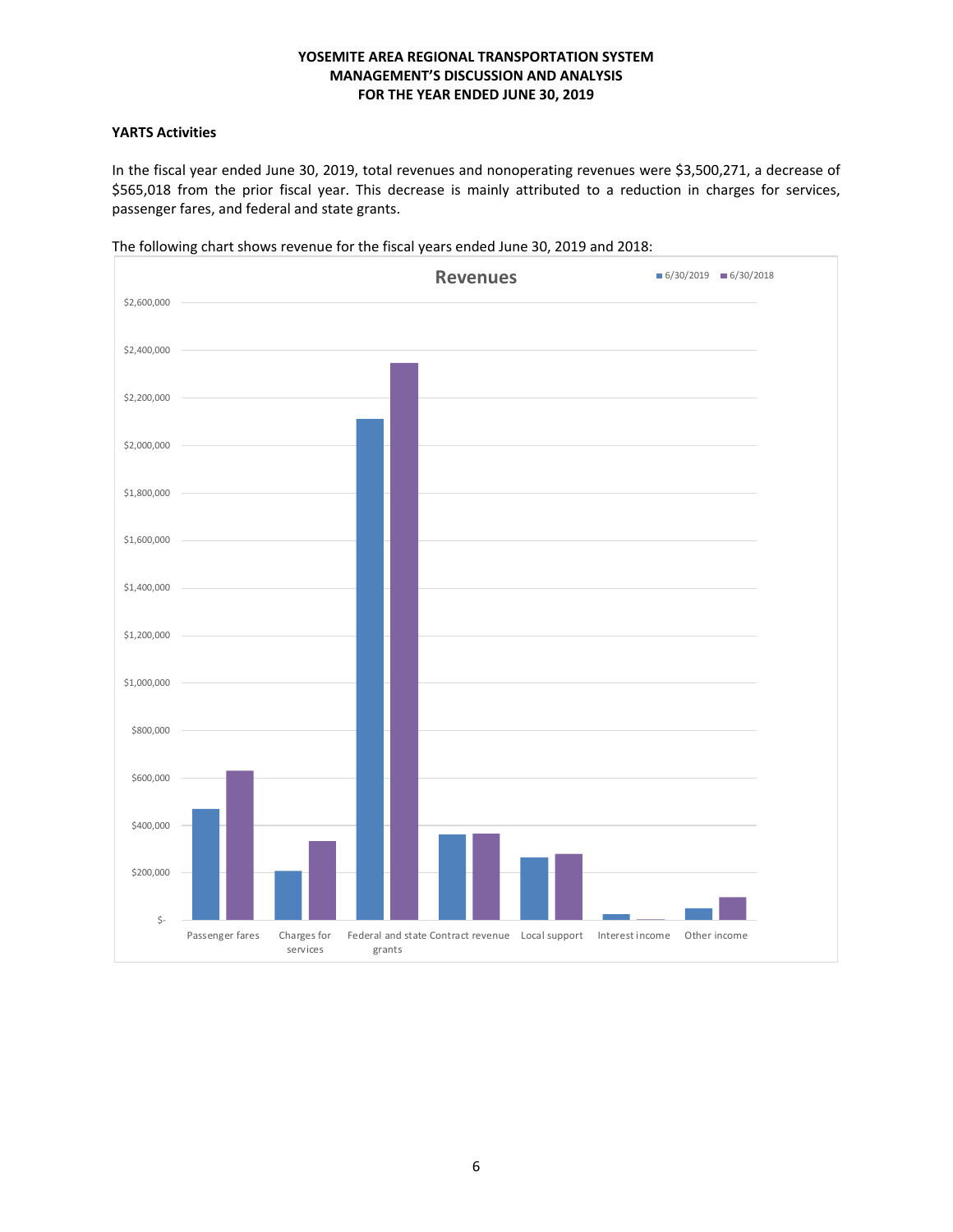### **YARTS Activities**

In the fiscal year ended June 30, 2019, total revenues and nonoperating revenues were \$3,500,271, a decrease of \$565,018 from the prior fiscal year. This decrease is mainly attributed to a reduction in charges for services, passenger fares, and federal and state grants.



The following chart shows revenue for the fiscal years ended June 30, 2019 and 2018: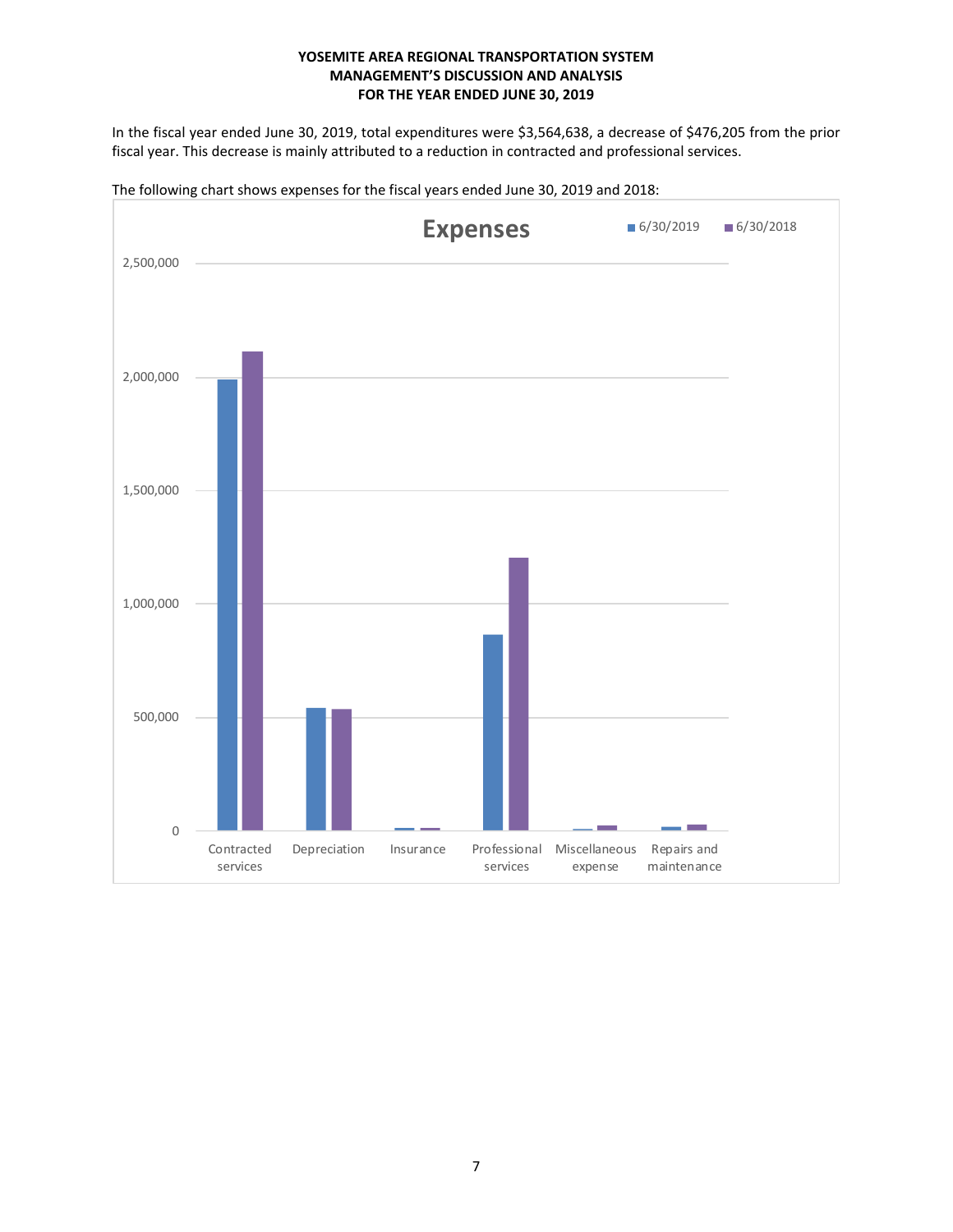In the fiscal year ended June 30, 2019, total expenditures were \$3,564,638, a decrease of \$476,205 from the prior fiscal year. This decrease is mainly attributed to a reduction in contracted and professional services.



The following chart shows expenses for the fiscal years ended June 30, 2019 and 2018: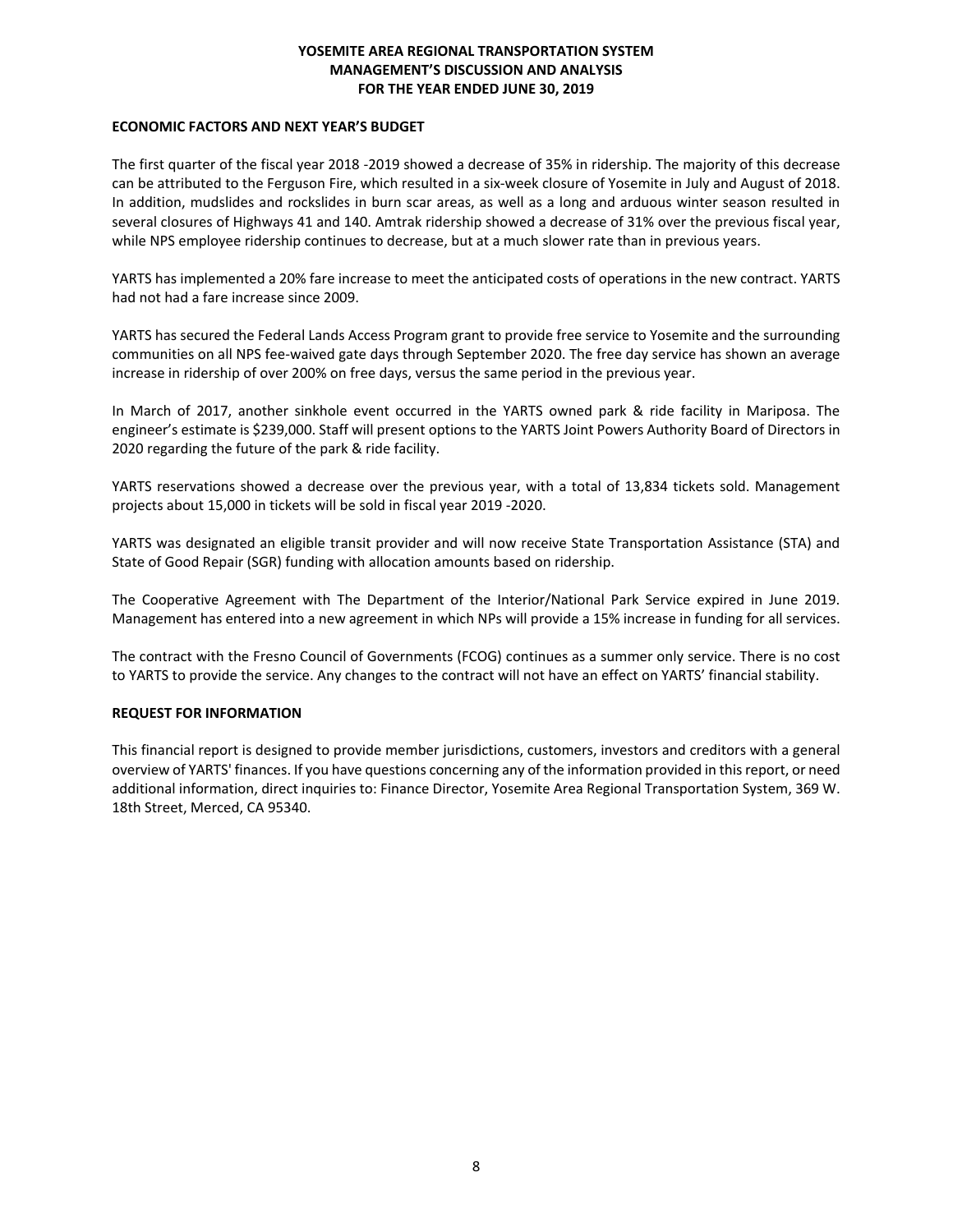### **ECONOMIC FACTORS AND NEXT YEAR'S BUDGET**

The first quarter of the fiscal year 2018 -2019 showed a decrease of 35% in ridership. The majority of this decrease can be attributed to the Ferguson Fire, which resulted in a six-week closure of Yosemite in July and August of 2018. In addition, mudslides and rockslides in burn scar areas, as well as a long and arduous winter season resulted in several closures of Highways 41 and 140. Amtrak ridership showed a decrease of 31% over the previous fiscal year, while NPS employee ridership continues to decrease, but at a much slower rate than in previous years.

YARTS has implemented a 20% fare increase to meet the anticipated costs of operations in the new contract. YARTS had not had a fare increase since 2009.

YARTS has secured the Federal Lands Access Program grant to provide free service to Yosemite and the surrounding communities on all NPS fee-waived gate days through September 2020. The free day service has shown an average increase in ridership of over 200% on free days, versus the same period in the previous year.

In March of 2017, another sinkhole event occurred in the YARTS owned park & ride facility in Mariposa. The engineer's estimate is \$239,000. Staff will present options to the YARTS Joint Powers Authority Board of Directors in 2020 regarding the future of the park & ride facility.

YARTS reservations showed a decrease over the previous year, with a total of 13,834 tickets sold. Management projects about 15,000 in tickets will be sold in fiscal year 2019 -2020.

YARTS was designated an eligible transit provider and will now receive State Transportation Assistance (STA) and State of Good Repair (SGR) funding with allocation amounts based on ridership.

The Cooperative Agreement with The Department of the Interior/National Park Service expired in June 2019. Management has entered into a new agreement in which NPs will provide a 15% increase in funding for all services.

The contract with the Fresno Council of Governments (FCOG) continues as a summer only service. There is no cost to YARTS to provide the service. Any changes to the contract will not have an effect on YARTS' financial stability.

#### **REQUEST FOR INFORMATION**

This financial report is designed to provide member jurisdictions, customers, investors and creditors with a general overview of YARTS' finances. If you have questions concerning any of the information provided in this report, or need additional information, direct inquiries to: Finance Director, Yosemite Area Regional Transportation System, 369 W. 18th Street, Merced, CA 95340.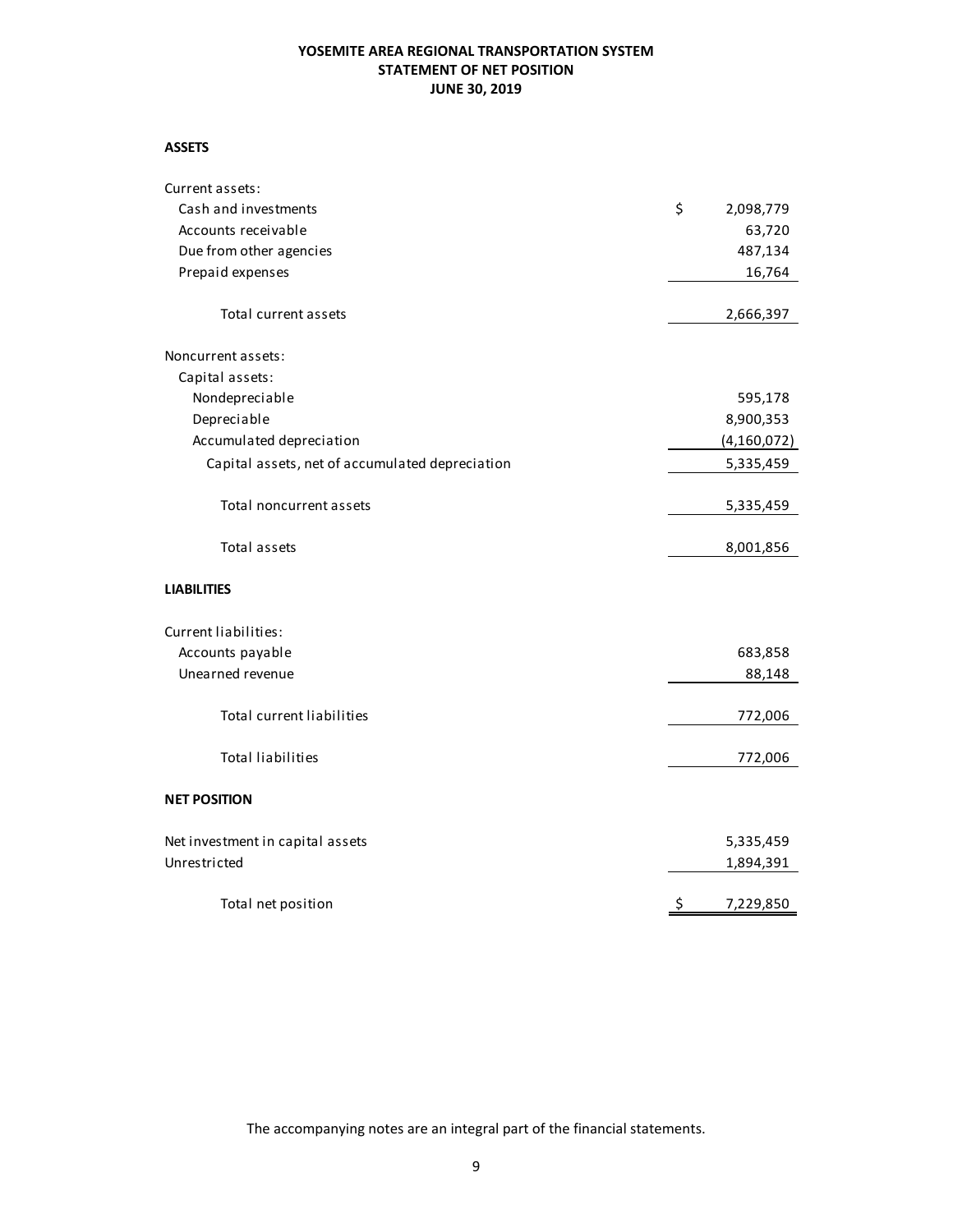## **YOSEMITE AREA REGIONAL TRANSPORTATION SYSTEM STATEMENT OF NET POSITION JUNE 30, 2019**

### **ASSETS**

| Current assets:                                 |                 |
|-------------------------------------------------|-----------------|
| Cash and investments                            | \$<br>2,098,779 |
| Accounts receivable                             | 63,720          |
| Due from other agencies                         | 487,134         |
| Prepaid expenses                                | 16,764          |
| Total current assets                            | 2,666,397       |
| Noncurrent assets:                              |                 |
| Capital assets:                                 |                 |
| Nondepreciable                                  | 595,178         |
| Depreciable                                     | 8,900,353       |
| Accumulated depreciation                        | (4, 160, 072)   |
| Capital assets, net of accumulated depreciation | 5,335,459       |
| Total noncurrent assets                         | 5,335,459       |
| Total assets                                    | 8,001,856       |
| <b>LIABILITIES</b>                              |                 |
| Current liabilities:                            |                 |
| Accounts payable                                | 683,858         |
| Unearned revenue                                | 88,148          |
| Total current liabilities                       | 772,006         |
| <b>Total liabilities</b>                        | 772,006         |
| <b>NET POSITION</b>                             |                 |
|                                                 |                 |
| Net investment in capital assets                | 5,335,459       |
| Unrestricted                                    | 1,894,391       |
| Total net position                              | \$<br>7,229,850 |

The accompanying notes are an integral part of the financial statements.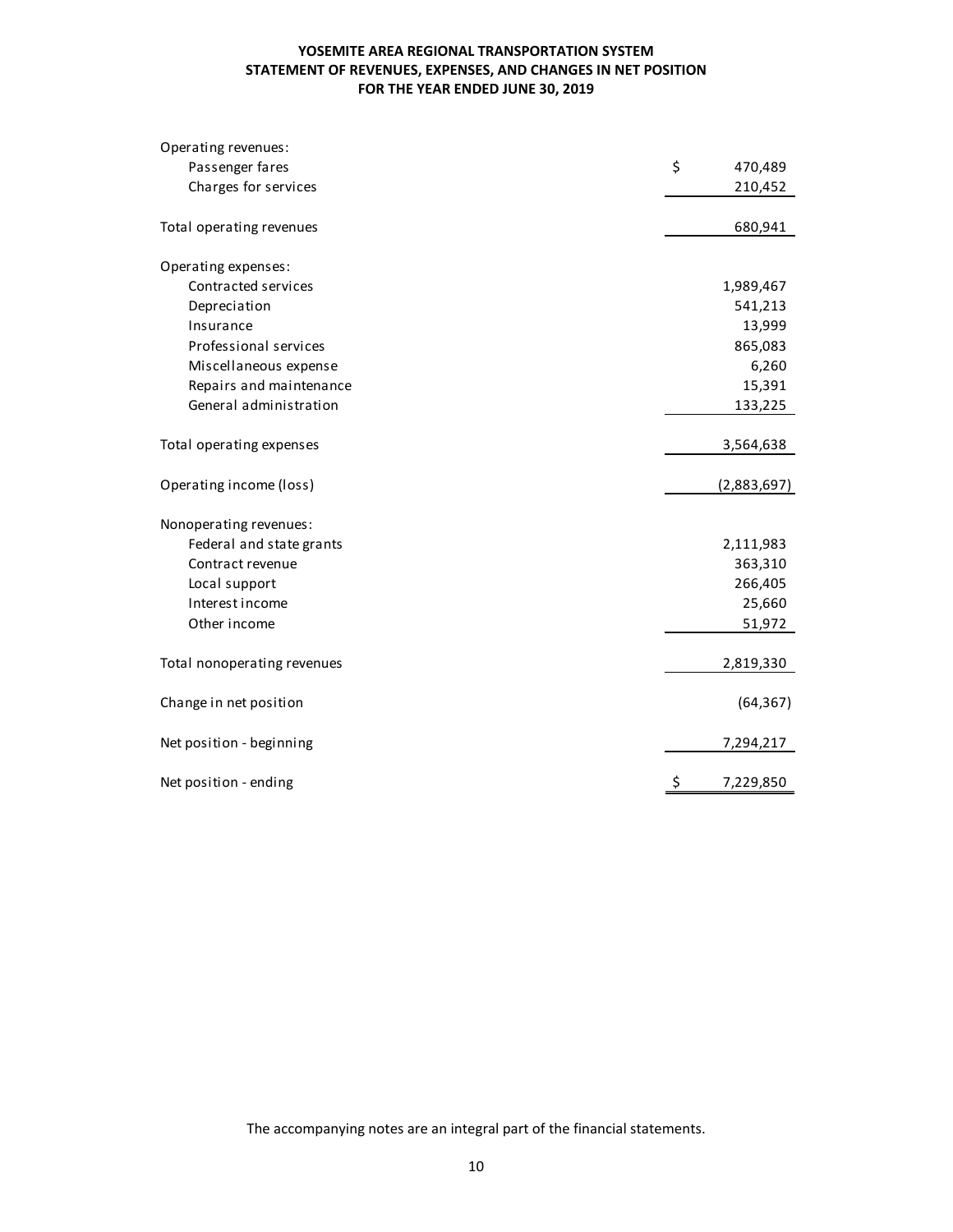## **YOSEMITE AREA REGIONAL TRANSPORTATION SYSTEM STATEMENT OF REVENUES, EXPENSES, AND CHANGES IN NET POSITION FOR THE YEAR ENDED JUNE 30, 2019**

| Operating revenues:         |               |
|-----------------------------|---------------|
| Passenger fares             | \$<br>470,489 |
| Charges for services        | 210,452       |
|                             |               |
| Total operating revenues    | 680,941       |
| Operating expenses:         |               |
| Contracted services         | 1,989,467     |
| Depreciation                | 541,213       |
| Insurance                   | 13,999        |
| Professional services       | 865,083       |
| Miscellaneous expense       | 6,260         |
| Repairs and maintenance     | 15,391        |
| General administration      | 133,225       |
|                             |               |
| Total operating expenses    | 3,564,638     |
| Operating income (loss)     | (2,883,697)   |
| Nonoperating revenues:      |               |
| Federal and state grants    | 2,111,983     |
| Contract revenue            | 363,310       |
| Local support               | 266,405       |
| Interest income             | 25,660        |
| Other income                | 51,972        |
|                             |               |
| Total nonoperating revenues | 2,819,330     |
| Change in net position      | (64, 367)     |
| Net position - beginning    | 7,294,217     |
| Net position - ending       | 7,229,850     |

The accompanying notes are an integral part of the financial statements.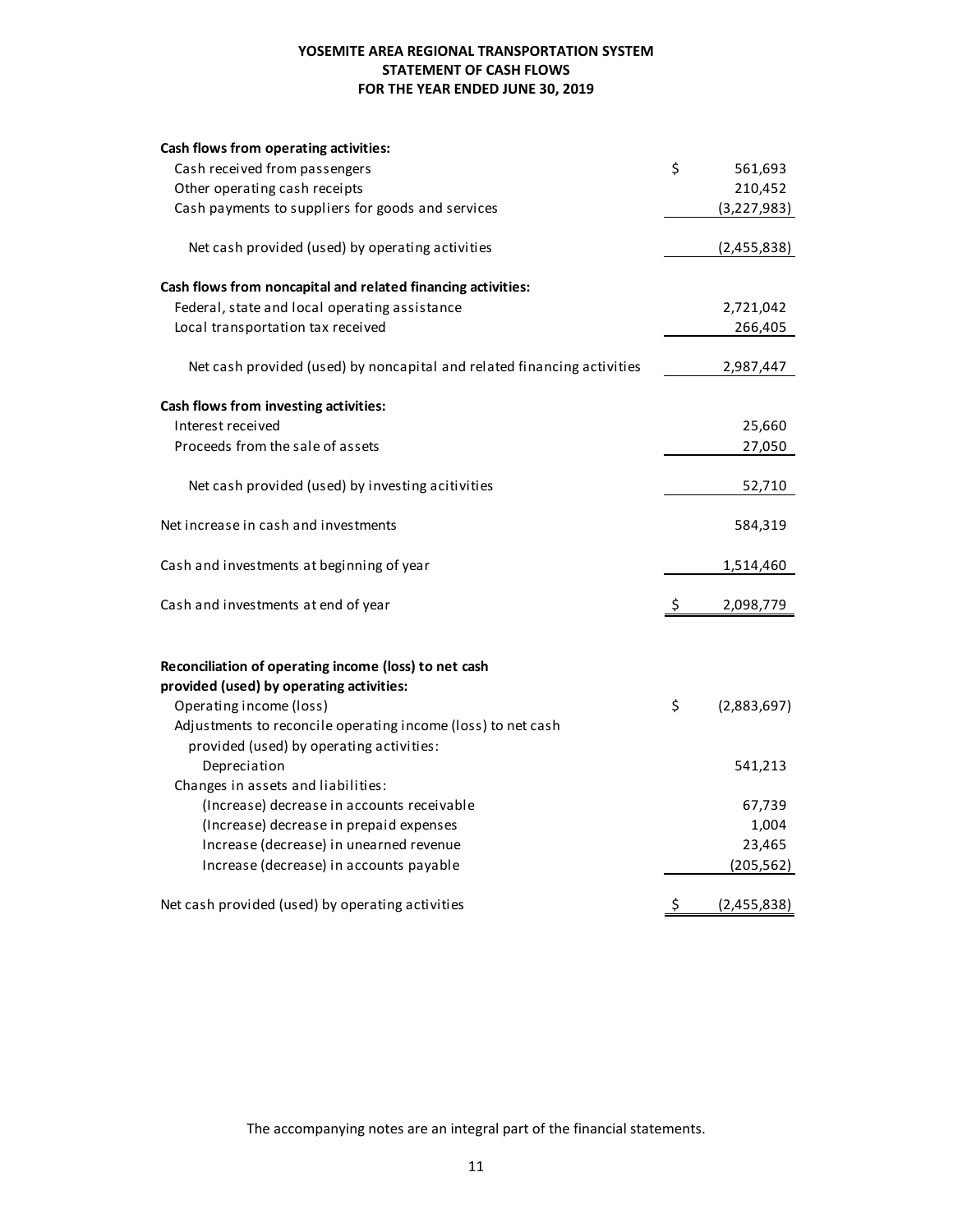### **YOSEMITE AREA REGIONAL TRANSPORTATION SYSTEM STATEMENT OF CASH FLOWS FOR THE YEAR ENDED JUNE 30, 2019**

| Cash flows from operating activities:                                   |                   |
|-------------------------------------------------------------------------|-------------------|
| Cash received from passengers                                           | \$<br>561,693     |
| Other operating cash receipts                                           | 210,452           |
| Cash payments to suppliers for goods and services                       | (3,227,983)       |
| Net cash provided (used) by operating activities                        | (2,455,838)       |
| Cash flows from noncapital and related financing activities:            |                   |
| Federal, state and local operating assistance                           | 2,721,042         |
| Local transportation tax received                                       | 266,405           |
| Net cash provided (used) by noncapital and related financing activities | 2,987,447         |
| Cash flows from investing activities:                                   |                   |
| Interest received                                                       | 25,660            |
| Proceeds from the sale of assets                                        | 27,050            |
| Net cash provided (used) by investing acitivities                       | 52,710            |
| Net increase in cash and investments                                    | 584,319           |
| Cash and investments at beginning of year                               | 1,514,460         |
| Cash and investments at end of year                                     | \$<br>2,098,779   |
| Reconciliation of operating income (loss) to net cash                   |                   |
| provided (used) by operating activities:                                |                   |
| Operating income (loss)                                                 | \$<br>(2,883,697) |
| Adjustments to reconcile operating income (loss) to net cash            |                   |
| provided (used) by operating activities:                                |                   |
| Depreciation                                                            | 541,213           |
| Changes in assets and liabilities:                                      |                   |
| (Increase) decrease in accounts receivable                              | 67,739            |
| (Increase) decrease in prepaid expenses                                 | 1,004             |
| Increase (decrease) in unearned revenue                                 | 23,465            |
| Increase (decrease) in accounts payable                                 | (205, 562)        |
| Net cash provided (used) by operating activities                        | \$<br>(2,455,838) |

The accompanying notes are an integral part of the financial statements.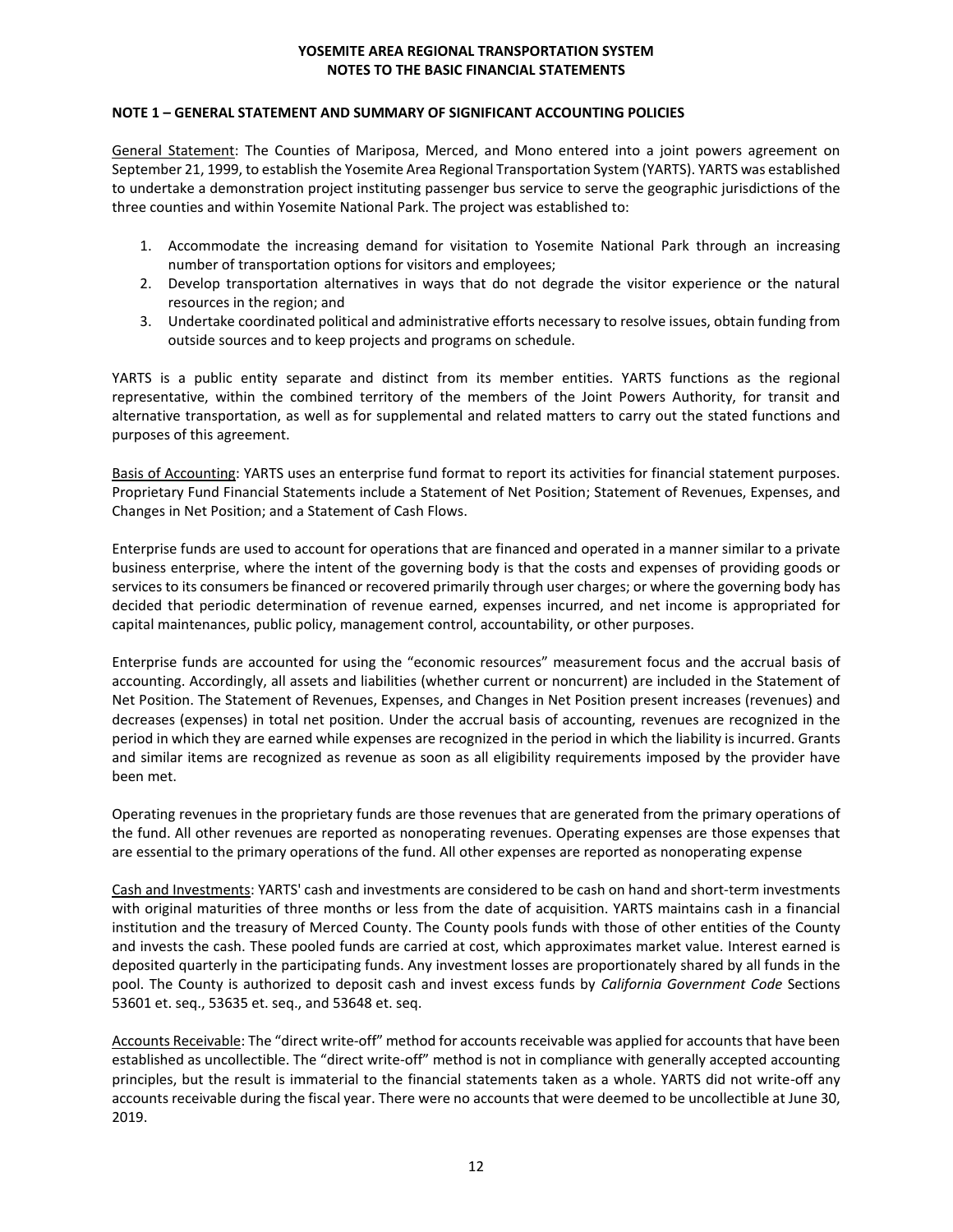#### **NOTE 1 – GENERAL STATEMENT AND SUMMARY OF SIGNIFICANT ACCOUNTING POLICIES**

General Statement: The Counties of Mariposa, Merced, and Mono entered into a joint powers agreement on September 21, 1999, to establish the Yosemite Area Regional Transportation System (YARTS). YARTS was established to undertake a demonstration project instituting passenger bus service to serve the geographic jurisdictions of the three counties and within Yosemite National Park. The project was established to:

- 1. Accommodate the increasing demand for visitation to Yosemite National Park through an increasing number of transportation options for visitors and employees;
- 2. Develop transportation alternatives in ways that do not degrade the visitor experience or the natural resources in the region; and
- 3. Undertake coordinated political and administrative efforts necessary to resolve issues, obtain funding from outside sources and to keep projects and programs on schedule.

YARTS is a public entity separate and distinct from its member entities. YARTS functions as the regional representative, within the combined territory of the members of the Joint Powers Authority, for transit and alternative transportation, as well as for supplemental and related matters to carry out the stated functions and purposes of this agreement.

Basis of Accounting: YARTS uses an enterprise fund format to report its activities for financial statement purposes. Proprietary Fund Financial Statements include a Statement of Net Position; Statement of Revenues, Expenses, and Changes in Net Position; and a Statement of Cash Flows.

Enterprise funds are used to account for operations that are financed and operated in a manner similar to a private business enterprise, where the intent of the governing body is that the costs and expenses of providing goods or services to its consumers be financed or recovered primarily through user charges; or where the governing body has decided that periodic determination of revenue earned, expenses incurred, and net income is appropriated for capital maintenances, public policy, management control, accountability, or other purposes.

Enterprise funds are accounted for using the "economic resources" measurement focus and the accrual basis of accounting. Accordingly, all assets and liabilities (whether current or noncurrent) are included in the Statement of Net Position. The Statement of Revenues, Expenses, and Changes in Net Position present increases (revenues) and decreases (expenses) in total net position. Under the accrual basis of accounting, revenues are recognized in the period in which they are earned while expenses are recognized in the period in which the liability is incurred. Grants and similar items are recognized as revenue as soon as all eligibility requirements imposed by the provider have been met.

Operating revenues in the proprietary funds are those revenues that are generated from the primary operations of the fund. All other revenues are reported as nonoperating revenues. Operating expenses are those expenses that are essential to the primary operations of the fund. All other expenses are reported as nonoperating expense

Cash and Investments: YARTS' cash and investments are considered to be cash on hand and short-term investments with original maturities of three months or less from the date of acquisition. YARTS maintains cash in a financial institution and the treasury of Merced County. The County pools funds with those of other entities of the County and invests the cash. These pooled funds are carried at cost, which approximates market value. Interest earned is deposited quarterly in the participating funds. Any investment losses are proportionately shared by all funds in the pool. The County is authorized to deposit cash and invest excess funds by *California Government Code* Sections 53601 et. seq., 53635 et. seq., and 53648 et. seq.

Accounts Receivable: The "direct write-off" method for accounts receivable was applied for accounts that have been established as uncollectible. The "direct write-off" method is not in compliance with generally accepted accounting principles, but the result is immaterial to the financial statements taken as a whole. YARTS did not write-off any accounts receivable during the fiscal year. There were no accounts that were deemed to be uncollectible at June 30, 2019.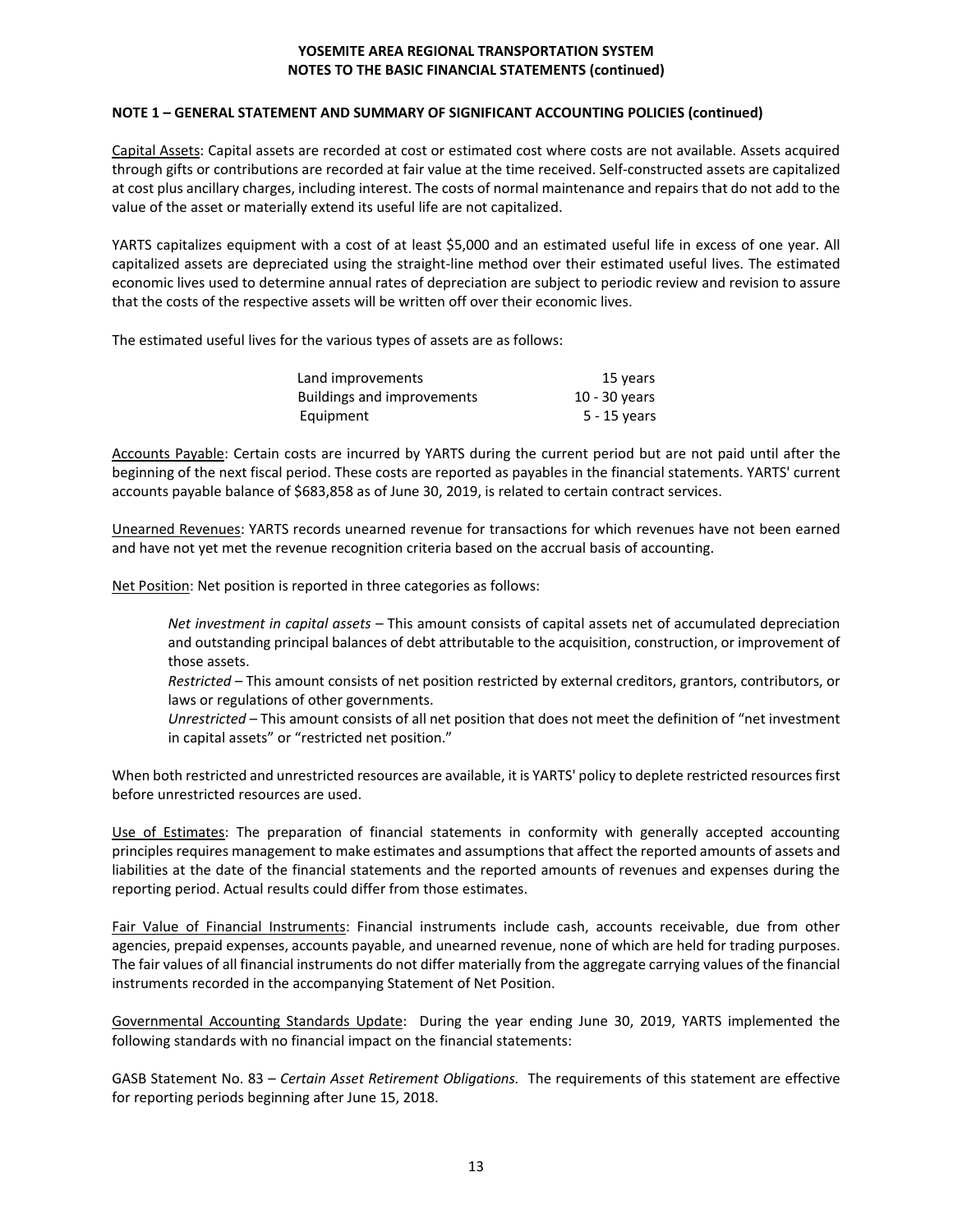#### **NOTE 1 – GENERAL STATEMENT AND SUMMARY OF SIGNIFICANT ACCOUNTING POLICIES (continued)**

Capital Assets: Capital assets are recorded at cost or estimated cost where costs are not available. Assets acquired through gifts or contributions are recorded at fair value at the time received. Self-constructed assets are capitalized at cost plus ancillary charges, including interest. The costs of normal maintenance and repairs that do not add to the value of the asset or materially extend its useful life are not capitalized.

YARTS capitalizes equipment with a cost of at least \$5,000 and an estimated useful life in excess of one year. All capitalized assets are depreciated using the straight-line method over their estimated useful lives. The estimated economic lives used to determine annual rates of depreciation are subject to periodic review and revision to assure that the costs of the respective assets will be written off over their economic lives.

The estimated useful lives for the various types of assets are as follows:

| Land improvements                 | 15 years      |
|-----------------------------------|---------------|
| <b>Buildings and improvements</b> | 10 - 30 years |
| Equipment                         | 5 - 15 years  |

Accounts Payable: Certain costs are incurred by YARTS during the current period but are not paid until after the beginning of the next fiscal period. These costs are reported as payables in the financial statements. YARTS' current accounts payable balance of \$683,858 as of June 30, 2019, is related to certain contract services.

Unearned Revenues: YARTS records unearned revenue for transactions for which revenues have not been earned and have not yet met the revenue recognition criteria based on the accrual basis of accounting.

Net Position: Net position is reported in three categories as follows:

*Net investment in capital assets –* This amount consists of capital assets net of accumulated depreciation and outstanding principal balances of debt attributable to the acquisition, construction, or improvement of those assets.

*Restricted –* This amount consists of net position restricted by external creditors, grantors, contributors, or laws or regulations of other governments.

*Unrestricted –* This amount consists of all net position that does not meet the definition of "net investment in capital assets" or "restricted net position."

When both restricted and unrestricted resources are available, it is YARTS' policy to deplete restricted resources first before unrestricted resources are used.

Use of Estimates: The preparation of financial statements in conformity with generally accepted accounting principles requires management to make estimates and assumptions that affect the reported amounts of assets and liabilities at the date of the financial statements and the reported amounts of revenues and expenses during the reporting period. Actual results could differ from those estimates.

Fair Value of Financial Instruments: Financial instruments include cash, accounts receivable, due from other agencies, prepaid expenses, accounts payable, and unearned revenue, none of which are held for trading purposes. The fair values of all financial instruments do not differ materially from the aggregate carrying values of the financial instruments recorded in the accompanying Statement of Net Position.

Governmental Accounting Standards Update: During the year ending June 30, 2019, YARTS implemented the following standards with no financial impact on the financial statements:

GASB Statement No. 83 – *Certain Asset Retirement Obligations.* The requirements of this statement are effective for reporting periods beginning after June 15, 2018.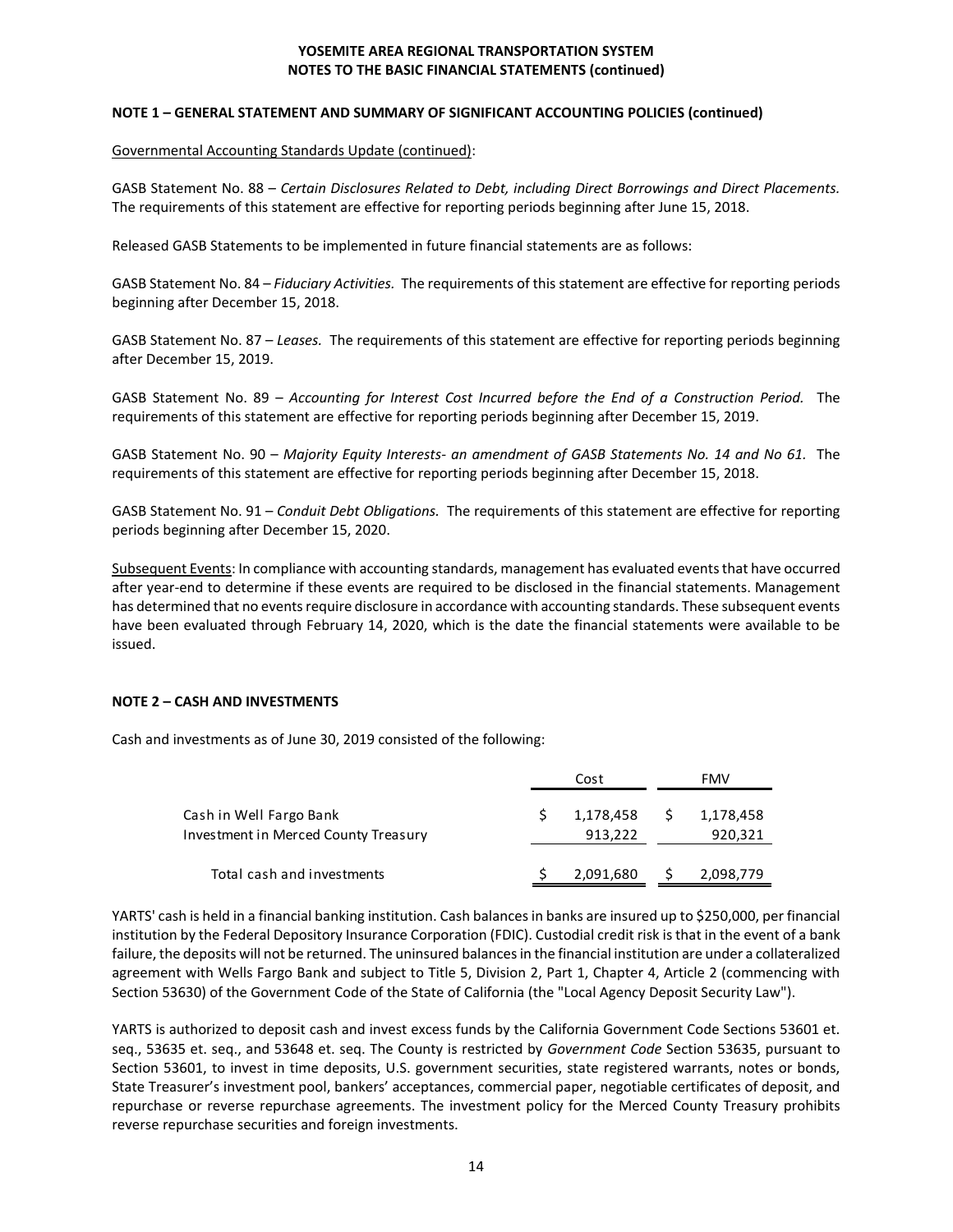#### **NOTE 1 – GENERAL STATEMENT AND SUMMARY OF SIGNIFICANT ACCOUNTING POLICIES (continued)**

#### Governmental Accounting Standards Update (continued):

GASB Statement No. 88 – *Certain Disclosures Related to Debt, including Direct Borrowings and Direct Placements.*  The requirements of this statement are effective for reporting periods beginning after June 15, 2018.

Released GASB Statements to be implemented in future financial statements are as follows:

GASB Statement No. 84 – *Fiduciary Activities.* The requirements of this statement are effective for reporting periods beginning after December 15, 2018.

GASB Statement No. 87 – *Leases.* The requirements of this statement are effective for reporting periods beginning after December 15, 2019.

GASB Statement No. 89 – *Accounting for Interest Cost Incurred before the End of a Construction Period.* The requirements of this statement are effective for reporting periods beginning after December 15, 2019.

GASB Statement No. 90 – *Majority Equity Interests- an amendment of GASB Statements No. 14 and No 61.* The requirements of this statement are effective for reporting periods beginning after December 15, 2018.

GASB Statement No. 91 – *Conduit Debt Obligations.* The requirements of this statement are effective for reporting periods beginning after December 15, 2020.

Subsequent Events: In compliance with accounting standards, management has evaluated events that have occurred after year-end to determine if these events are required to be disclosed in the financial statements. Management has determined that no events require disclosure in accordance with accounting standards. These subsequent events have been evaluated through February 14, 2020, which is the date the financial statements were available to be issued.

#### **NOTE 2 – CASH AND INVESTMENTS**

Cash and investments as of June 30, 2019 consisted of the following:

|                                                                 | Cost                 |  | <b>FMV</b>           |
|-----------------------------------------------------------------|----------------------|--|----------------------|
| Cash in Well Fargo Bank<br>Investment in Merced County Treasury | 1,178,458<br>913,222 |  | 1,178,458<br>920,321 |
| Total cash and investments                                      | 2,091,680            |  | 2,098,779            |

YARTS' cash is held in a financial banking institution. Cash balances in banks are insured up to \$250,000, per financial institution by the Federal Depository Insurance Corporation (FDIC). Custodial credit risk is that in the event of a bank failure, the deposits will not be returned. The uninsured balances in the financial institution are under a collateralized agreement with Wells Fargo Bank and subject to Title 5, Division 2, Part 1, Chapter 4, Article 2 (commencing with Section 53630) of the Government Code of the State of California (the "Local Agency Deposit Security Law").

YARTS is authorized to deposit cash and invest excess funds by the California Government Code Sections 53601 et. seq., 53635 et. seq., and 53648 et. seq. The County is restricted by *Government Code* Section 53635, pursuant to Section 53601, to invest in time deposits, U.S. government securities, state registered warrants, notes or bonds, State Treasurer's investment pool, bankers' acceptances, commercial paper, negotiable certificates of deposit, and repurchase or reverse repurchase agreements. The investment policy for the Merced County Treasury prohibits reverse repurchase securities and foreign investments.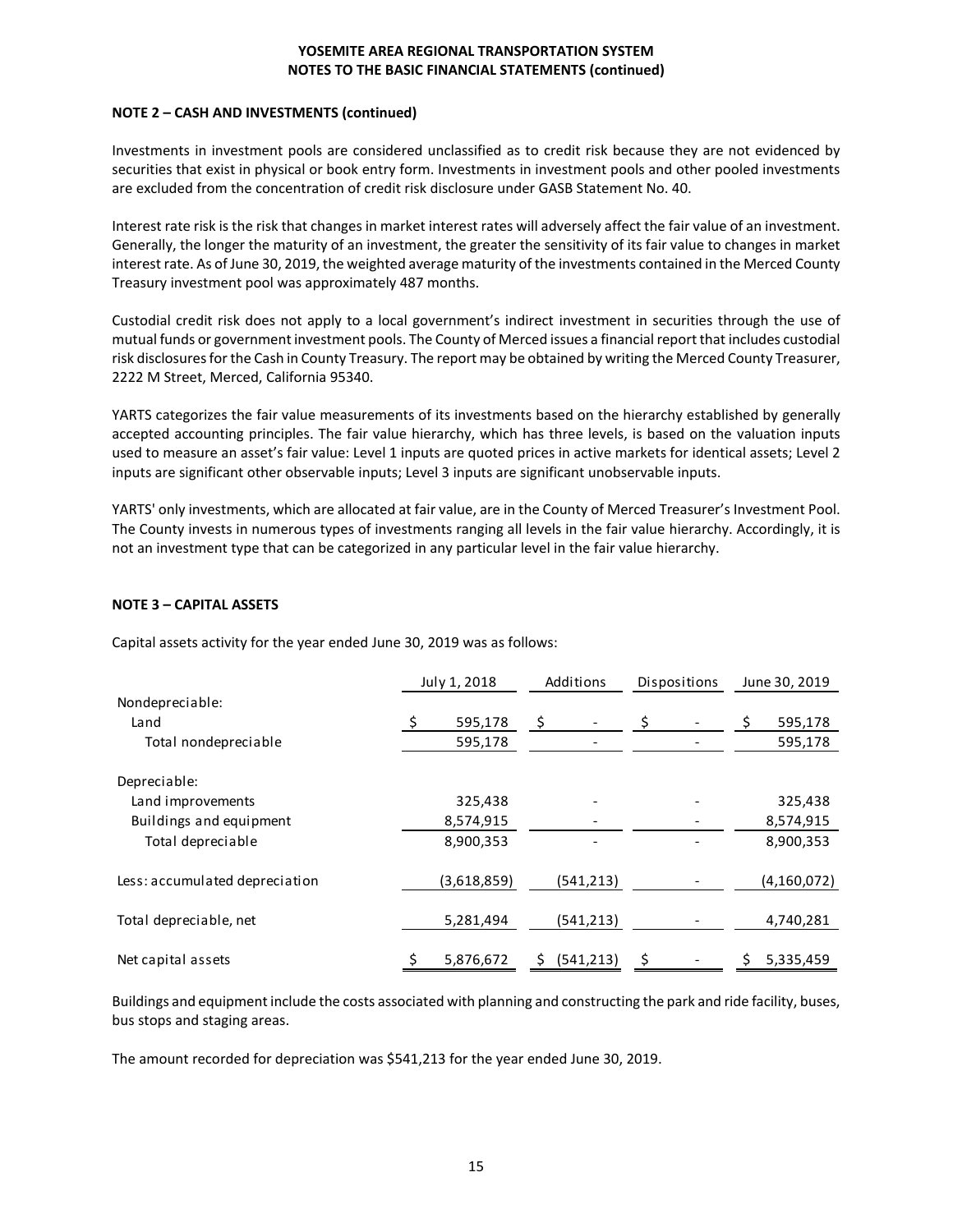#### **NOTE 2 – CASH AND INVESTMENTS (continued)**

Investments in investment pools are considered unclassified as to credit risk because they are not evidenced by securities that exist in physical or book entry form. Investments in investment pools and other pooled investments are excluded from the concentration of credit risk disclosure under GASB Statement No. 40.

Interest rate risk is the risk that changes in market interest rates will adversely affect the fair value of an investment. Generally, the longer the maturity of an investment, the greater the sensitivity of its fair value to changes in market interest rate. As of June 30, 2019, the weighted average maturity of the investments contained in the Merced County Treasury investment pool was approximately 487 months.

Custodial credit risk does not apply to a local government's indirect investment in securities through the use of mutual funds or government investment pools. The County of Merced issues a financial report that includes custodial risk disclosures for the Cash in County Treasury. The report may be obtained by writing the Merced County Treasurer, 2222 M Street, Merced, California 95340.

YARTS categorizes the fair value measurements of its investments based on the hierarchy established by generally accepted accounting principles. The fair value hierarchy, which has three levels, is based on the valuation inputs used to measure an asset's fair value: Level 1 inputs are quoted prices in active markets for identical assets; Level 2 inputs are significant other observable inputs; Level 3 inputs are significant unobservable inputs.

YARTS' only investments, which are allocated at fair value, are in the County of Merced Treasurer's Investment Pool. The County invests in numerous types of investments ranging all levels in the fair value hierarchy. Accordingly, it is not an investment type that can be categorized in any particular level in the fair value hierarchy.

#### **NOTE 3 – CAPITAL ASSETS**

Capital assets activity for the year ended June 30, 2019 was as follows:

|                                | July 1, 2018 |             | Additions |            | Dispositions |  | June 30, 2019 |
|--------------------------------|--------------|-------------|-----------|------------|--------------|--|---------------|
| Nondepreciable:                |              |             |           |            |              |  |               |
| Land                           | \$           | 595,178     | \$        |            | \$           |  | 595,178       |
| Total nondepreciable           |              | 595,178     |           |            |              |  | 595,178       |
| Depreciable:                   |              |             |           |            |              |  |               |
| Land improvements              |              | 325,438     |           |            |              |  | 325,438       |
| Buildings and equipment        |              | 8,574,915   |           |            |              |  | 8,574,915     |
| Total depreciable              |              | 8,900,353   |           |            |              |  | 8,900,353     |
| Less: accumulated depreciation |              | (3,618,859) |           | (541, 213) |              |  | (4, 160, 072) |
| Total depreciable, net         |              | 5,281,494   |           | (541, 213) |              |  | 4,740,281     |
| Net capital assets             | \$           | 5,876,672   |           | (541, 213) | \$           |  | 5,335,459     |

Buildings and equipment include the costs associated with planning and constructing the park and ride facility, buses, bus stops and staging areas.

The amount recorded for depreciation was \$541,213 for the year ended June 30, 2019.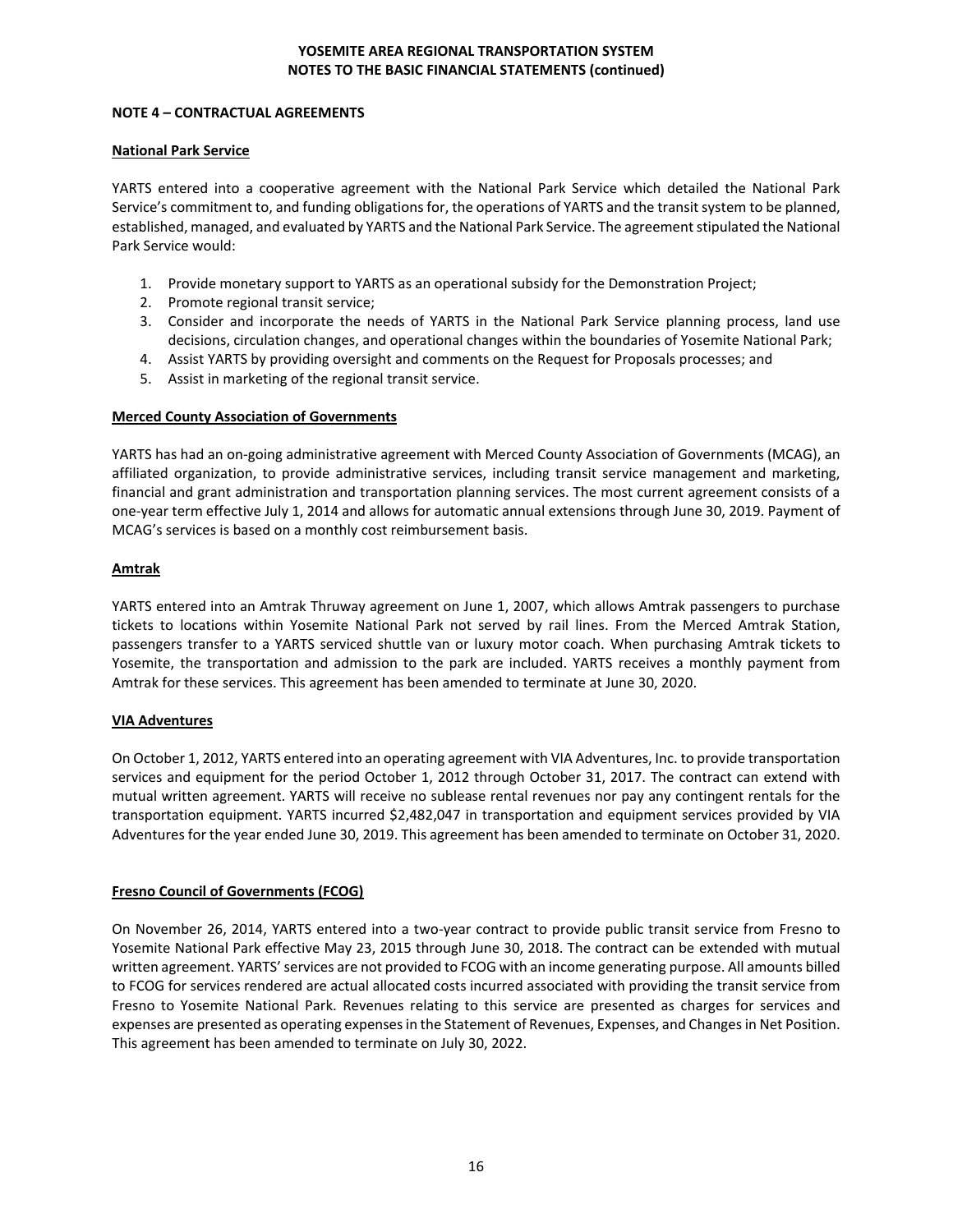### **NOTE 4 – CONTRACTUAL AGREEMENTS**

#### **National Park Service**

YARTS entered into a cooperative agreement with the National Park Service which detailed the National Park Service's commitment to, and funding obligations for, the operations of YARTS and the transit system to be planned, established, managed, and evaluated by YARTS and the National Park Service. The agreement stipulated the National Park Service would:

- 1. Provide monetary support to YARTS as an operational subsidy for the Demonstration Project;
- 2. Promote regional transit service;
- 3. Consider and incorporate the needs of YARTS in the National Park Service planning process, land use decisions, circulation changes, and operational changes within the boundaries of Yosemite National Park;
- 4. Assist YARTS by providing oversight and comments on the Request for Proposals processes; and
- 5. Assist in marketing of the regional transit service.

#### **Merced County Association of Governments**

YARTS has had an on-going administrative agreement with Merced County Association of Governments (MCAG), an affiliated organization, to provide administrative services, including transit service management and marketing, financial and grant administration and transportation planning services. The most current agreement consists of a one-year term effective July 1, 2014 and allows for automatic annual extensions through June 30, 2019. Payment of MCAG's services is based on a monthly cost reimbursement basis.

#### **Amtrak**

YARTS entered into an Amtrak Thruway agreement on June 1, 2007, which allows Amtrak passengers to purchase tickets to locations within Yosemite National Park not served by rail lines. From the Merced Amtrak Station, passengers transfer to a YARTS serviced shuttle van or luxury motor coach. When purchasing Amtrak tickets to Yosemite, the transportation and admission to the park are included. YARTS receives a monthly payment from Amtrak for these services. This agreement has been amended to terminate at June 30, 2020.

### **VIA Adventures**

On October 1, 2012, YARTS entered into an operating agreement with VIA Adventures, Inc. to provide transportation services and equipment for the period October 1, 2012 through October 31, 2017. The contract can extend with mutual written agreement. YARTS will receive no sublease rental revenues nor pay any contingent rentals for the transportation equipment. YARTS incurred \$2,482,047 in transportation and equipment services provided by VIA Adventures for the year ended June 30, 2019. This agreement has been amended to terminate on October 31, 2020.

### **Fresno Council of Governments (FCOG)**

On November 26, 2014, YARTS entered into a two-year contract to provide public transit service from Fresno to Yosemite National Park effective May 23, 2015 through June 30, 2018. The contract can be extended with mutual written agreement. YARTS' services are not provided to FCOG with an income generating purpose. All amounts billed to FCOG for services rendered are actual allocated costs incurred associated with providing the transit service from Fresno to Yosemite National Park. Revenues relating to this service are presented as charges for services and expenses are presented as operating expenses in the Statement of Revenues, Expenses, and Changes in Net Position. This agreement has been amended to terminate on July 30, 2022.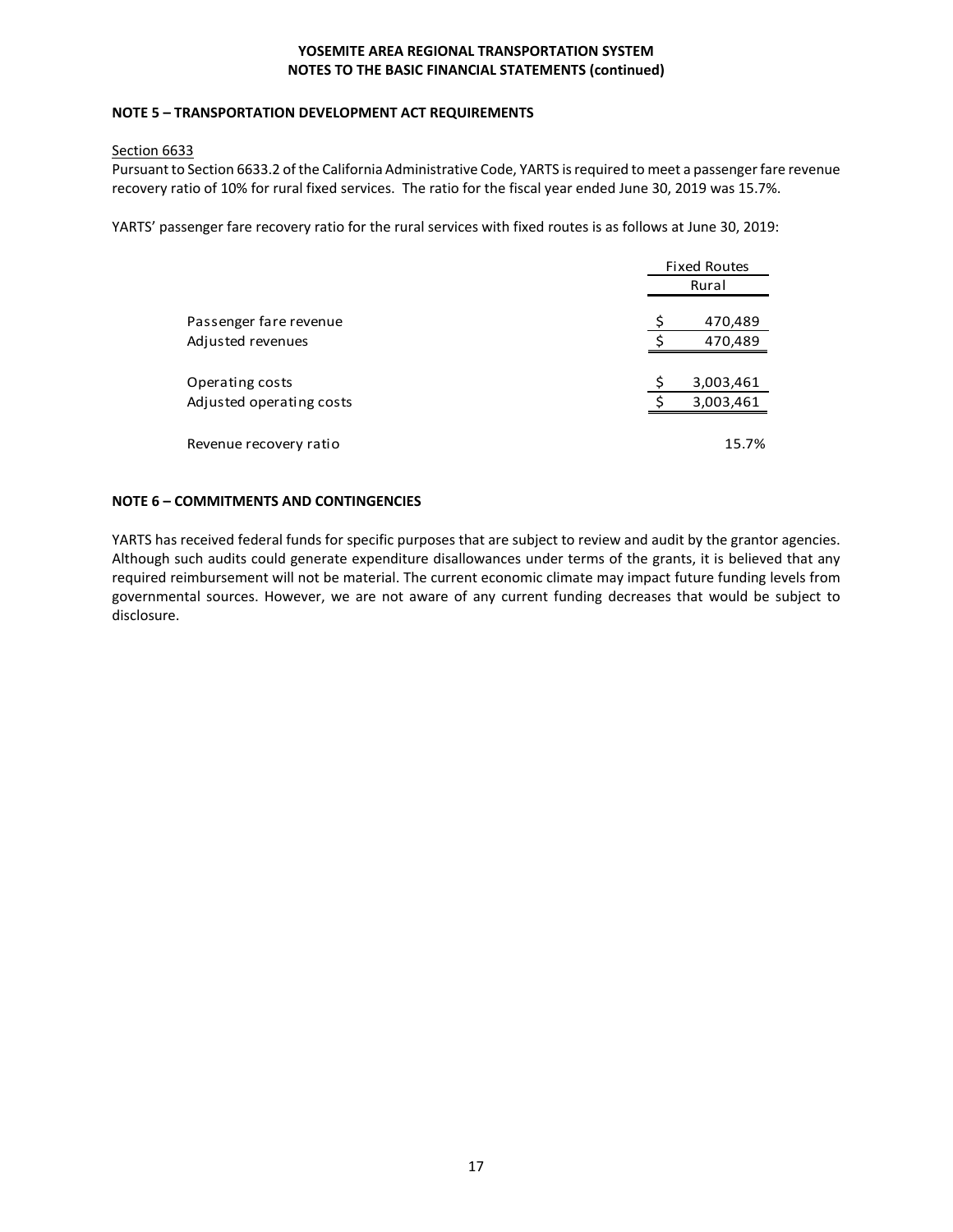#### **NOTE 5 – TRANSPORTATION DEVELOPMENT ACT REQUIREMENTS**

#### Section 6633

Pursuant to Section 6633.2 of the California Administrative Code, YARTS is required to meet a passenger fare revenue recovery ratio of 10% for rural fixed services. The ratio for the fiscal year ended June 30, 2019 was 15.7%.

YARTS' passenger fare recovery ratio for the rural services with fixed routes is as follows at June 30, 2019:

|                                             |      | <b>Fixed Routes</b>    |
|---------------------------------------------|------|------------------------|
|                                             |      | Rural                  |
| Passenger fare revenue                      |      | 470,489                |
| Adjusted revenues                           |      | 470,489                |
| Operating costs<br>Adjusted operating costs | - \$ | 3,003,461<br>3,003,461 |
| Revenue recovery ratio                      |      | 15.7%                  |

#### **NOTE 6 – COMMITMENTS AND CONTINGENCIES**

YARTS has received federal funds for specific purposes that are subject to review and audit by the grantor agencies. Although such audits could generate expenditure disallowances under terms of the grants, it is believed that any required reimbursement will not be material. The current economic climate may impact future funding levels from governmental sources. However, we are not aware of any current funding decreases that would be subject to disclosure.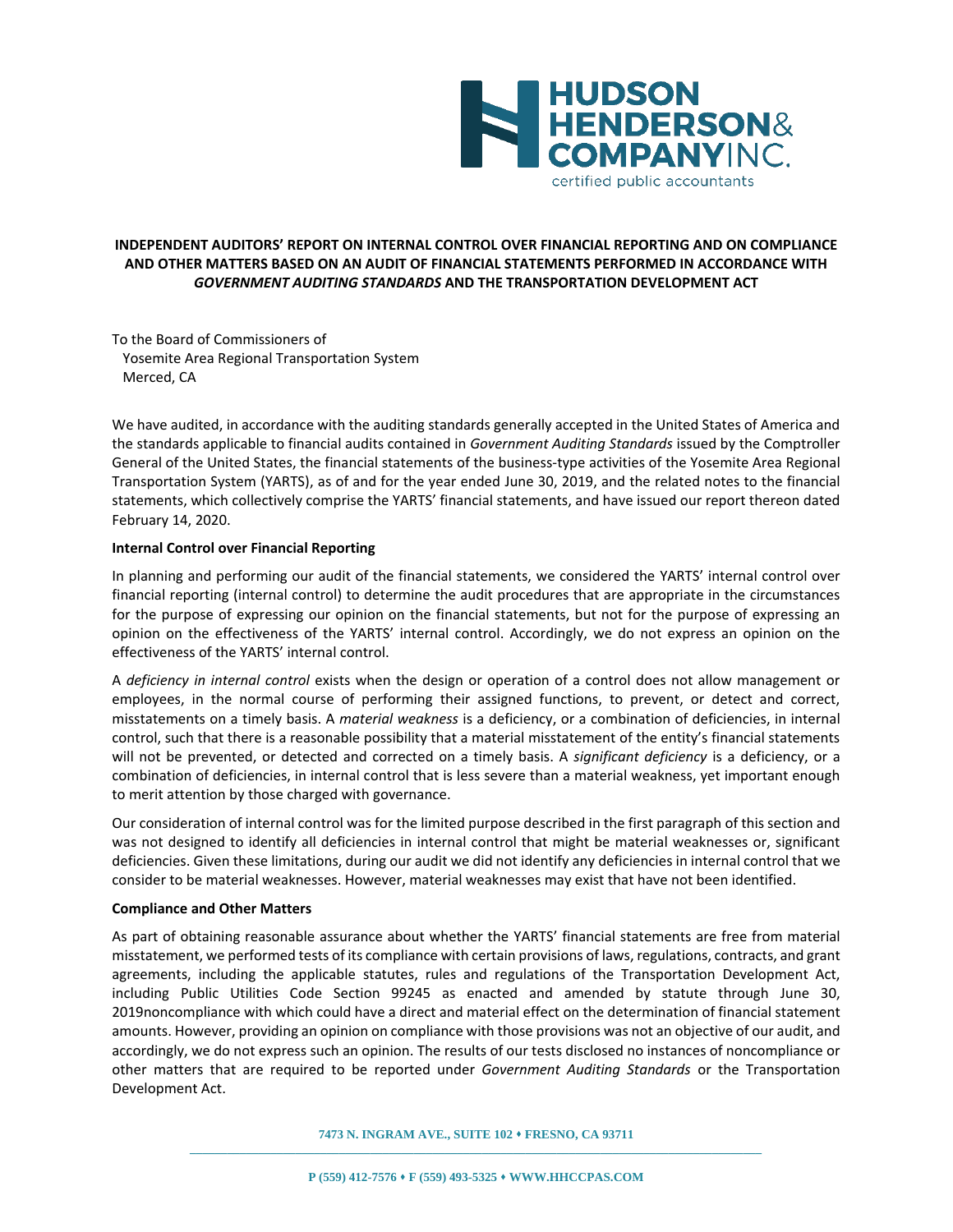

### **INDEPENDENT AUDITORS' REPORT ON INTERNAL CONTROL OVER FINANCIAL REPORTING AND ON COMPLIANCE AND OTHER MATTERS BASED ON AN AUDIT OF FINANCIAL STATEMENTS PERFORMED IN ACCORDANCE WITH**  *GOVERNMENT AUDITING STANDARDS* **AND THE TRANSPORTATION DEVELOPMENT ACT**

To the Board of Commissioners of Yosemite Area Regional Transportation System Merced, CA

We have audited, in accordance with the auditing standards generally accepted in the United States of America and the standards applicable to financial audits contained in *Government Auditing Standards* issued by the Comptroller General of the United States, the financial statements of the business-type activities of the Yosemite Area Regional Transportation System (YARTS), as of and for the year ended June 30, 2019, and the related notes to the financial statements, which collectively comprise the YARTS' financial statements, and have issued our report thereon dated February 14, 2020.

#### **Internal Control over Financial Reporting**

In planning and performing our audit of the financial statements, we considered the YARTS' internal control over financial reporting (internal control) to determine the audit procedures that are appropriate in the circumstances for the purpose of expressing our opinion on the financial statements, but not for the purpose of expressing an opinion on the effectiveness of the YARTS' internal control. Accordingly, we do not express an opinion on the effectiveness of the YARTS' internal control.

A *deficiency in internal control* exists when the design or operation of a control does not allow management or employees, in the normal course of performing their assigned functions, to prevent, or detect and correct, misstatements on a timely basis. A *material weakness* is a deficiency, or a combination of deficiencies, in internal control, such that there is a reasonable possibility that a material misstatement of the entity's financial statements will not be prevented, or detected and corrected on a timely basis. A *significant deficiency* is a deficiency, or a combination of deficiencies, in internal control that is less severe than a material weakness, yet important enough to merit attention by those charged with governance.

Our consideration of internal control was for the limited purpose described in the first paragraph of this section and was not designed to identify all deficiencies in internal control that might be material weaknesses or, significant deficiencies. Given these limitations, during our audit we did not identify any deficiencies in internal control that we consider to be material weaknesses. However, material weaknesses may exist that have not been identified.

#### **Compliance and Other Matters**

As part of obtaining reasonable assurance about whether the YARTS' financial statements are free from material misstatement, we performed tests of its compliance with certain provisions of laws, regulations, contracts, and grant agreements, including the applicable statutes, rules and regulations of the Transportation Development Act, including Public Utilities Code Section 99245 as enacted and amended by statute through June 30, 2019noncompliance with which could have a direct and material effect on the determination of financial statement amounts. However, providing an opinion on compliance with those provisions was not an objective of our audit, and accordingly, we do not express such an opinion. The results of our tests disclosed no instances of noncompliance or other matters that are required to be reported under *Government Auditing Standards* or the Transportation Development Act.

> **7473 N. INGRAM AVE., SUITE 102** ⬧ **FRESNO, CA 93711 \_\_\_\_\_\_\_\_\_\_\_\_\_\_\_\_\_\_\_\_\_\_\_\_\_\_\_\_\_\_\_\_\_\_\_\_\_\_\_\_\_\_\_\_\_\_\_\_\_\_\_\_\_\_\_\_\_\_\_\_\_\_\_\_\_\_\_\_\_\_\_\_\_\_\_\_\_\_\_\_\_\_\_\_\_\_\_\_\_\_\_\_**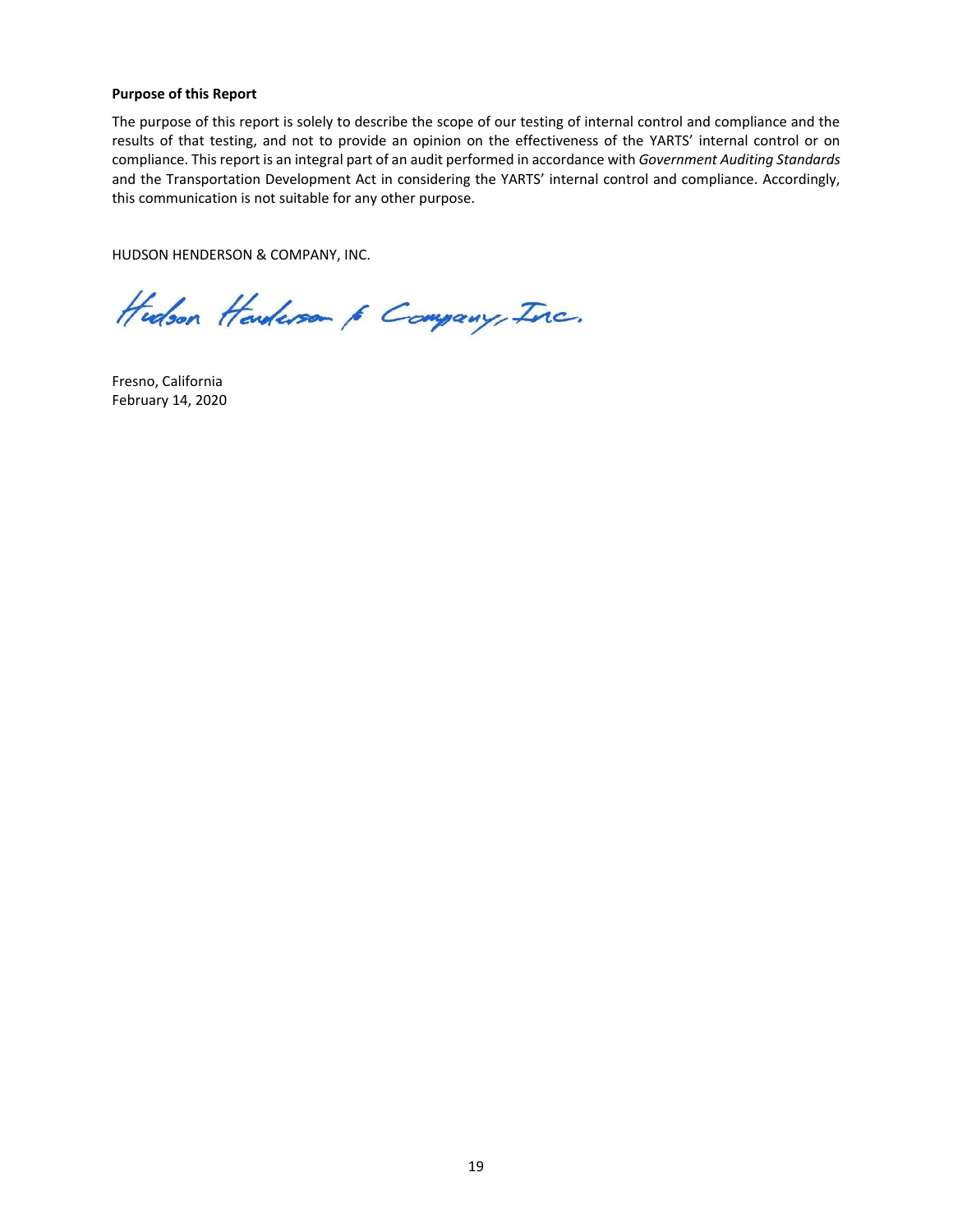#### **Purpose of this Report**

The purpose of this report is solely to describe the scope of our testing of internal control and compliance and the results of that testing, and not to provide an opinion on the effectiveness of the YARTS' internal control or on compliance. This report is an integral part of an audit performed in accordance with *Government Auditing Standards* and the Transportation Development Act in considering the YARTS' internal control and compliance. Accordingly, this communication is not suitable for any other purpose.

HUDSON HENDERSON & COMPANY, INC.

Hudson Handerson & Company, Inc.

Fresno, California February 14, 2020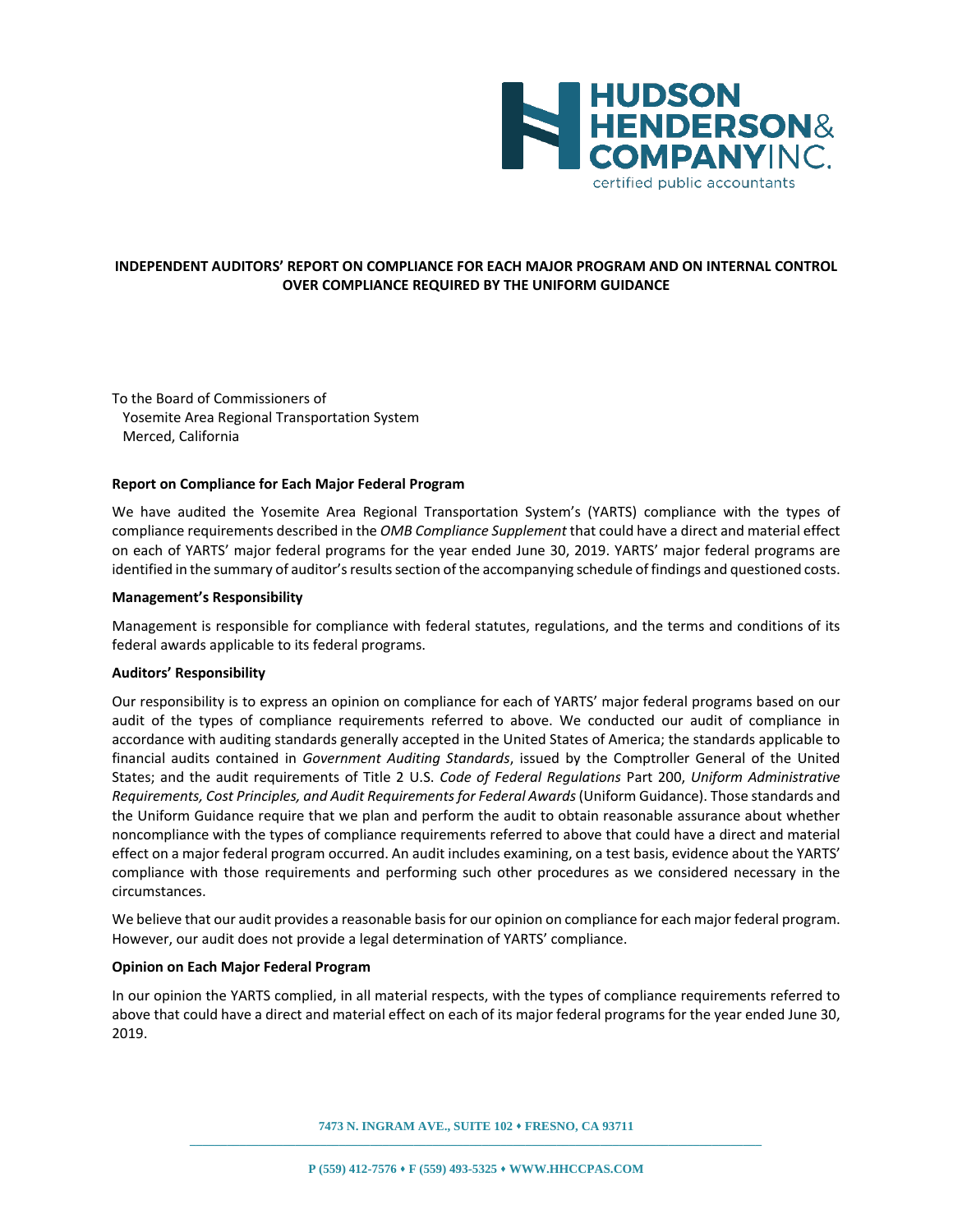

### **INDEPENDENT AUDITORS' REPORT ON COMPLIANCE FOR EACH MAJOR PROGRAM AND ON INTERNAL CONTROL OVER COMPLIANCE REQUIRED BY THE UNIFORM GUIDANCE**

To the Board of Commissioners of Yosemite Area Regional Transportation System Merced, California

#### **Report on Compliance for Each Major Federal Program**

We have audited the Yosemite Area Regional Transportation System's (YARTS) compliance with the types of compliance requirements described in the *OMB Compliance Supplement* that could have a direct and material effect on each of YARTS' major federal programs for the year ended June 30, 2019. YARTS' major federal programs are identified in the summary of auditor's results section of the accompanying schedule of findings and questioned costs.

#### **Management's Responsibility**

Management is responsible for compliance with federal statutes, regulations, and the terms and conditions of its federal awards applicable to its federal programs.

#### **Auditors' Responsibility**

Our responsibility is to express an opinion on compliance for each of YARTS' major federal programs based on our audit of the types of compliance requirements referred to above. We conducted our audit of compliance in accordance with auditing standards generally accepted in the United States of America; the standards applicable to financial audits contained in *Government Auditing Standards*, issued by the Comptroller General of the United States; and the audit requirements of Title 2 U.S. *Code of Federal Regulations* Part 200, *Uniform Administrative Requirements, Cost Principles, and Audit Requirements for Federal Awards*(Uniform Guidance). Those standards and the Uniform Guidance require that we plan and perform the audit to obtain reasonable assurance about whether noncompliance with the types of compliance requirements referred to above that could have a direct and material effect on a major federal program occurred. An audit includes examining, on a test basis, evidence about the YARTS' compliance with those requirements and performing such other procedures as we considered necessary in the circumstances.

We believe that our audit provides a reasonable basis for our opinion on compliance for each major federal program. However, our audit does not provide a legal determination of YARTS' compliance.

#### **Opinion on Each Major Federal Program**

In our opinion the YARTS complied, in all material respects, with the types of compliance requirements referred to above that could have a direct and material effect on each of its major federal programs for the year ended June 30, 2019.

> **7473 N. INGRAM AVE., SUITE 102** ⬧ **FRESNO, CA 93711 \_\_\_\_\_\_\_\_\_\_\_\_\_\_\_\_\_\_\_\_\_\_\_\_\_\_\_\_\_\_\_\_\_\_\_\_\_\_\_\_\_\_\_\_\_\_\_\_\_\_\_\_\_\_\_\_\_\_\_\_\_\_\_\_\_\_\_\_\_\_\_\_\_\_\_\_\_\_\_\_\_\_\_\_\_\_\_\_\_\_\_\_**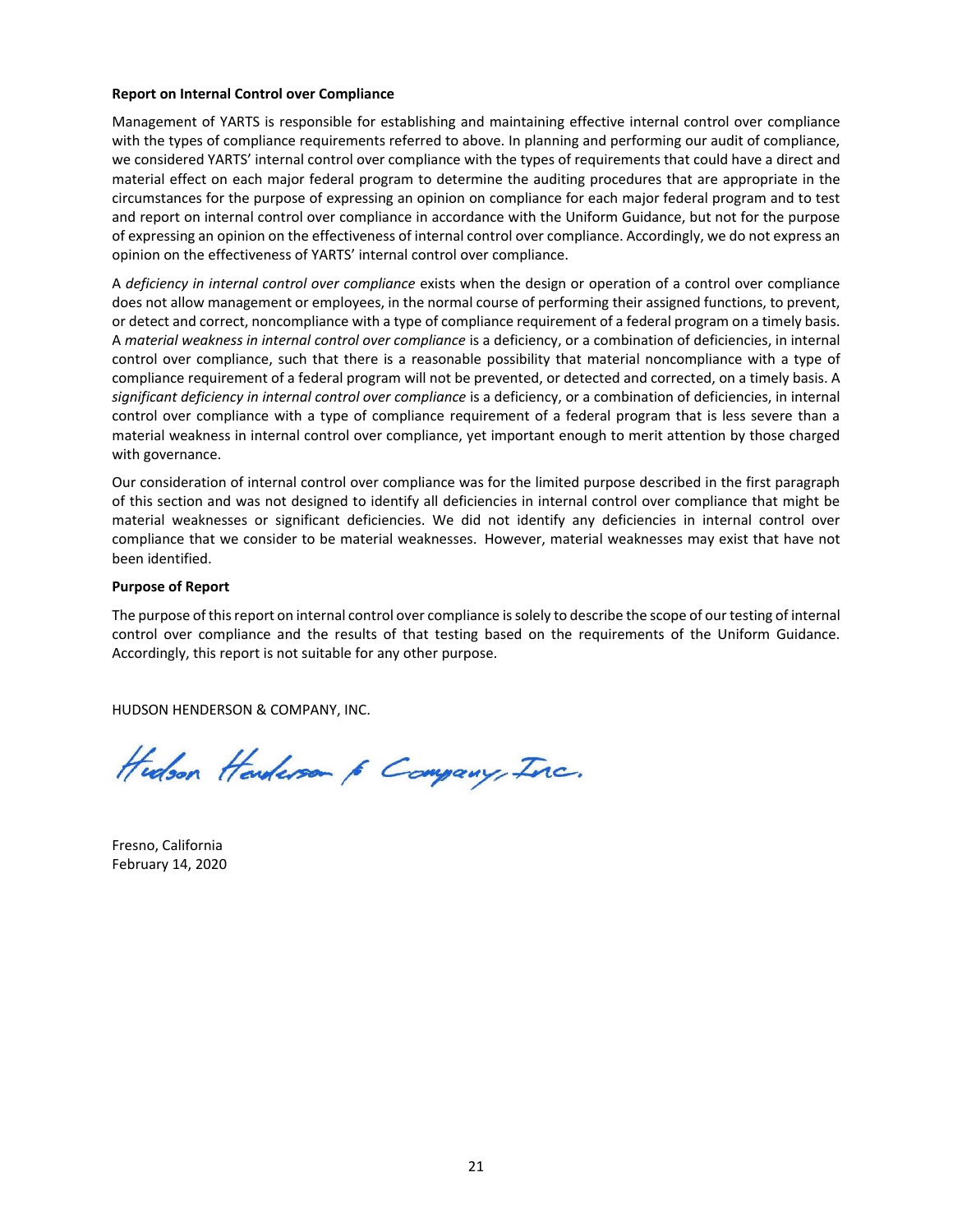#### **Report on Internal Control over Compliance**

Management of YARTS is responsible for establishing and maintaining effective internal control over compliance with the types of compliance requirements referred to above. In planning and performing our audit of compliance, we considered YARTS' internal control over compliance with the types of requirements that could have a direct and material effect on each major federal program to determine the auditing procedures that are appropriate in the circumstances for the purpose of expressing an opinion on compliance for each major federal program and to test and report on internal control over compliance in accordance with the Uniform Guidance, but not for the purpose of expressing an opinion on the effectiveness of internal control over compliance. Accordingly, we do not express an opinion on the effectiveness of YARTS' internal control over compliance.

A *deficiency in internal control over compliance* exists when the design or operation of a control over compliance does not allow management or employees, in the normal course of performing their assigned functions, to prevent, or detect and correct, noncompliance with a type of compliance requirement of a federal program on a timely basis. A *material weakness in internal control over compliance* is a deficiency, or a combination of deficiencies, in internal control over compliance, such that there is a reasonable possibility that material noncompliance with a type of compliance requirement of a federal program will not be prevented, or detected and corrected, on a timely basis. A *significant deficiency in internal control over compliance* is a deficiency, or a combination of deficiencies, in internal control over compliance with a type of compliance requirement of a federal program that is less severe than a material weakness in internal control over compliance, yet important enough to merit attention by those charged with governance.

Our consideration of internal control over compliance was for the limited purpose described in the first paragraph of this section and was not designed to identify all deficiencies in internal control over compliance that might be material weaknesses or significant deficiencies. We did not identify any deficiencies in internal control over compliance that we consider to be material weaknesses. However, material weaknesses may exist that have not been identified.

#### **Purpose of Report**

The purpose of this report on internal control over compliance is solely to describe the scope of our testing of internal control over compliance and the results of that testing based on the requirements of the Uniform Guidance. Accordingly, this report is not suitable for any other purpose.

HUDSON HENDERSON & COMPANY, INC.

Hudson Handerson 6 Company, Inc.

Fresno, California February 14, 2020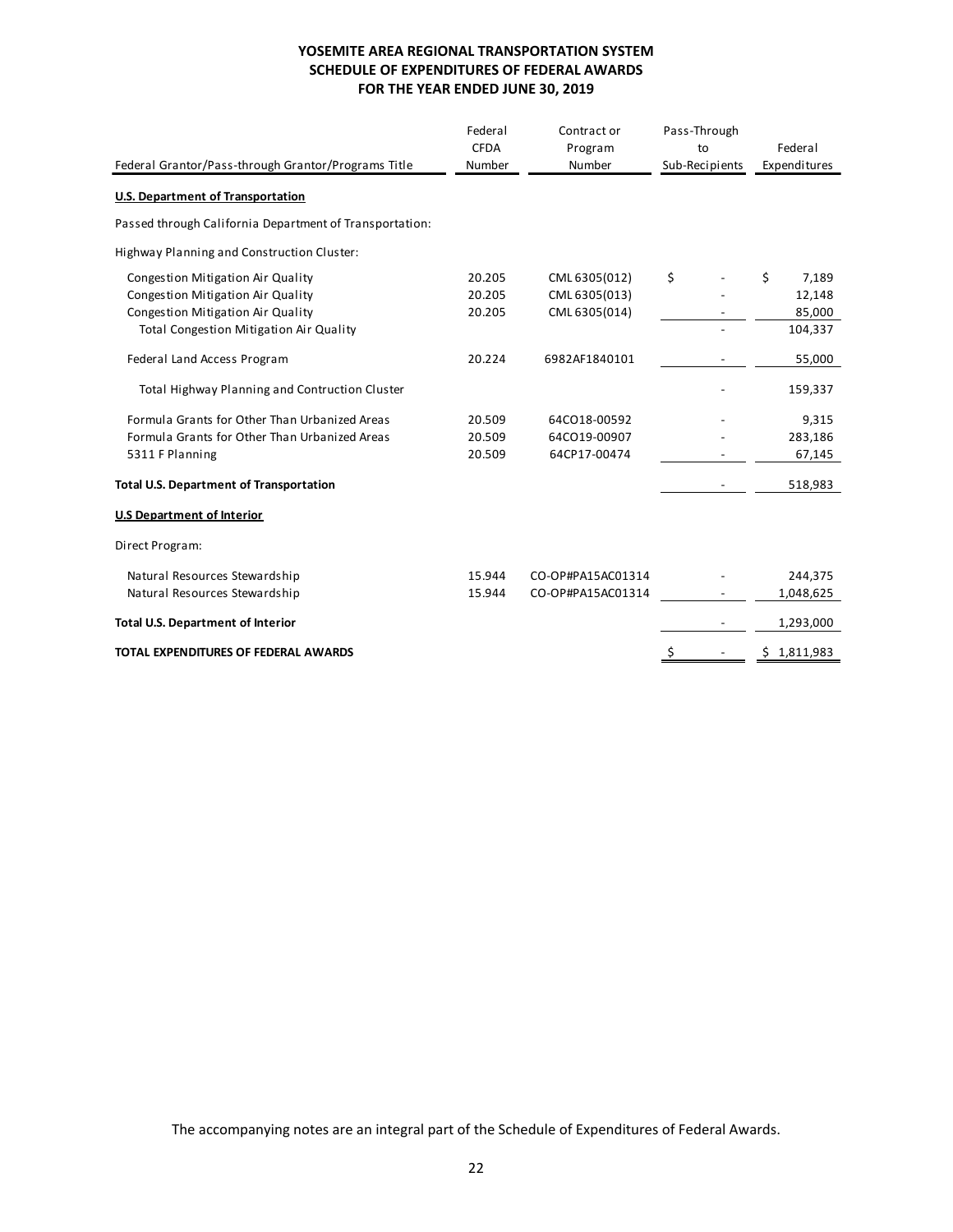## **YOSEMITE AREA REGIONAL TRANSPORTATION SYSTEM SCHEDULE OF EXPENDITURES OF FEDERAL AWARDS FOR THE YEAR ENDED JUNE 30, 2019**

| Federal Grantor/Pass-through Grantor/Programs Title     | Federal<br><b>CFDA</b><br>Number | Contract or<br>Program<br>Number | Pass-Through<br>to<br>Sub-Recipients |  |    | Federal<br>Expenditures |
|---------------------------------------------------------|----------------------------------|----------------------------------|--------------------------------------|--|----|-------------------------|
| <b>U.S. Department of Transportation</b>                |                                  |                                  |                                      |  |    |                         |
| Passed through California Department of Transportation: |                                  |                                  |                                      |  |    |                         |
| Highway Planning and Construction Cluster:              |                                  |                                  |                                      |  |    |                         |
| Congestion Mitigation Air Quality                       | 20.205                           | CML 6305(012)                    | \$                                   |  | Ś. | 7,189                   |
| Congestion Mitigation Air Quality                       | 20.205                           | CML 6305(013)                    |                                      |  |    | 12,148                  |
| Congestion Mitigation Air Quality                       | 20.205                           | CML 6305(014)                    |                                      |  |    | 85,000                  |
| <b>Total Congestion Mitigation Air Quality</b>          |                                  |                                  |                                      |  |    | 104,337                 |
| Federal Land Access Program                             | 20.224                           | 6982AF1840101                    |                                      |  |    | 55,000                  |
| Total Highway Planning and Contruction Cluster          |                                  |                                  |                                      |  |    | 159,337                 |
| Formula Grants for Other Than Urbanized Areas           | 20.509                           | 64CO18-00592                     |                                      |  |    | 9,315                   |
| Formula Grants for Other Than Urbanized Areas           | 20.509                           | 64CO19-00907                     |                                      |  |    | 283,186                 |
| 5311 F Planning                                         | 20.509                           | 64CP17-00474                     |                                      |  |    | 67,145                  |
| Total U.S. Department of Transportation                 |                                  |                                  |                                      |  |    | 518,983                 |
| <b>U.S Department of Interior</b>                       |                                  |                                  |                                      |  |    |                         |
| Direct Program:                                         |                                  |                                  |                                      |  |    |                         |
| Natural Resources Stewardship                           | 15.944                           | CO-OP#PA15AC01314                |                                      |  |    | 244,375                 |
| Natural Resources Stewardship                           | 15.944                           | CO-OP#PA15AC01314                |                                      |  |    | 1,048,625               |
| <b>Total U.S. Department of Interior</b>                |                                  |                                  |                                      |  |    | 1,293,000               |
| TOTAL EXPENDITURES OF FEDERAL AWARDS                    |                                  |                                  | \$                                   |  |    | \$1,811,983             |

The accompanying notes are an integral part of the Schedule of Expenditures of Federal Awards.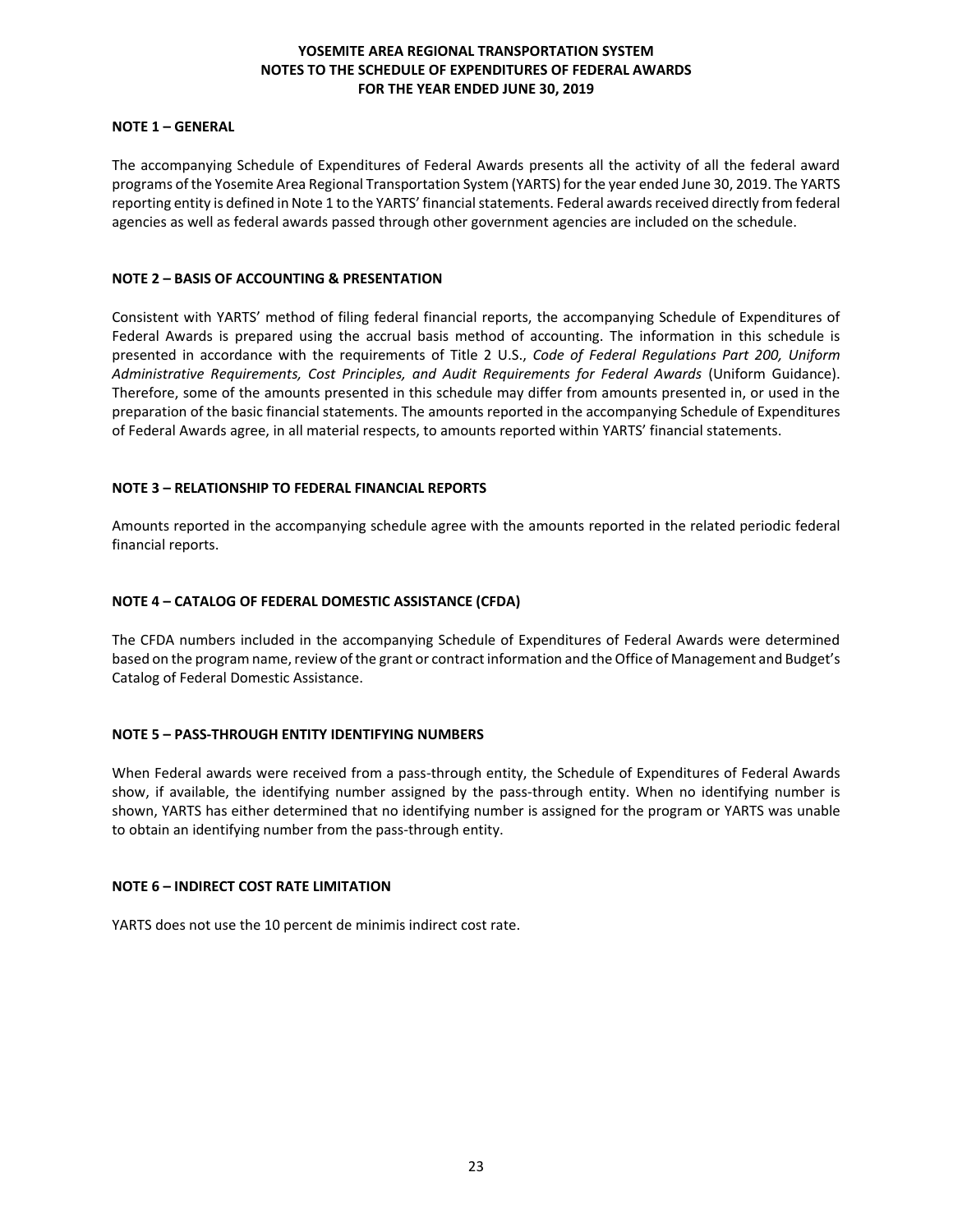### **YOSEMITE AREA REGIONAL TRANSPORTATION SYSTEM NOTES TO THE SCHEDULE OF EXPENDITURES OF FEDERAL AWARDS FOR THE YEAR ENDED JUNE 30, 2019**

#### **NOTE 1 – GENERAL**

The accompanying Schedule of Expenditures of Federal Awards presents all the activity of all the federal award programs of the Yosemite Area Regional Transportation System (YARTS) for the year ended June 30, 2019. The YARTS reporting entity is defined in Note 1 to the YARTS' financial statements. Federal awards received directly from federal agencies as well as federal awards passed through other government agencies are included on the schedule.

### **NOTE 2 – BASIS OF ACCOUNTING & PRESENTATION**

Consistent with YARTS' method of filing federal financial reports, the accompanying Schedule of Expenditures of Federal Awards is prepared using the accrual basis method of accounting. The information in this schedule is presented in accordance with the requirements of Title 2 U.S., *Code of Federal Regulations Part 200, Uniform Administrative Requirements, Cost Principles, and Audit Requirements for Federal Awards* (Uniform Guidance). Therefore, some of the amounts presented in this schedule may differ from amounts presented in, or used in the preparation of the basic financial statements. The amounts reported in the accompanying Schedule of Expenditures of Federal Awards agree, in all material respects, to amounts reported within YARTS' financial statements.

### **NOTE 3 – RELATIONSHIP TO FEDERAL FINANCIAL REPORTS**

Amounts reported in the accompanying schedule agree with the amounts reported in the related periodic federal financial reports.

#### **NOTE 4 – CATALOG OF FEDERAL DOMESTIC ASSISTANCE (CFDA)**

The CFDA numbers included in the accompanying Schedule of Expenditures of Federal Awards were determined based on the program name, review of the grant or contract information and the Office of Management and Budget's Catalog of Federal Domestic Assistance.

#### **NOTE 5 – PASS-THROUGH ENTITY IDENTIFYING NUMBERS**

When Federal awards were received from a pass-through entity, the Schedule of Expenditures of Federal Awards show, if available, the identifying number assigned by the pass-through entity. When no identifying number is shown, YARTS has either determined that no identifying number is assigned for the program or YARTS was unable to obtain an identifying number from the pass-through entity.

#### **NOTE 6 – INDIRECT COST RATE LIMITATION**

YARTS does not use the 10 percent de minimis indirect cost rate.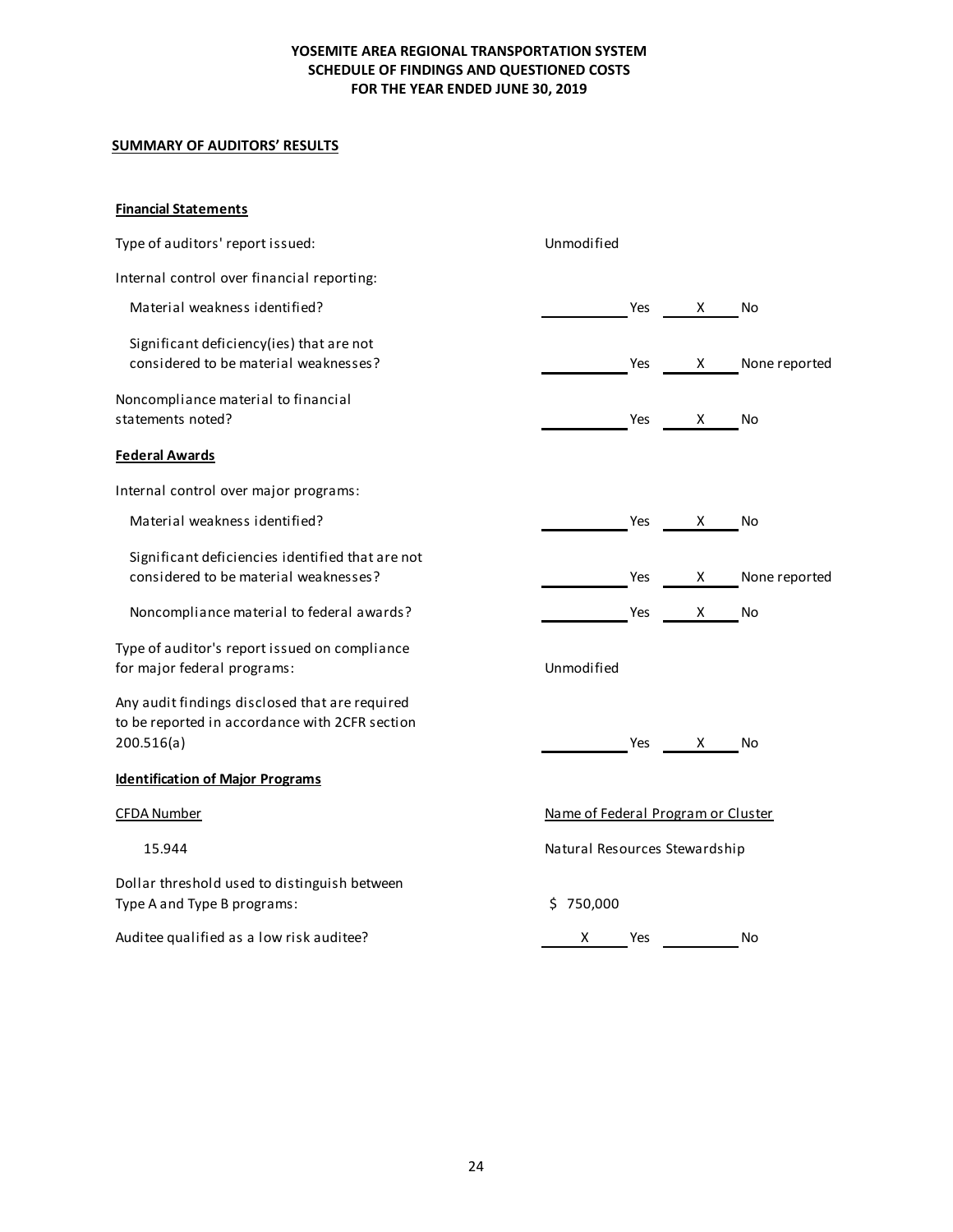## **YOSEMITE AREA REGIONAL TRANSPORTATION SYSTEM SCHEDULE OF FINDINGS AND QUESTIONED COSTS FOR THE YEAR ENDED JUNE 30, 2019**

## **SUMMARY OF AUDITORS' RESULTS**

## **Financial Statements**

| Type of auditors' report issued:                                                                               | Unmodified                         |     |    |               |
|----------------------------------------------------------------------------------------------------------------|------------------------------------|-----|----|---------------|
| Internal control over financial reporting:                                                                     |                                    |     |    |               |
| Material weakness identified?                                                                                  |                                    | Yes | X. | No            |
| Significant deficiency(ies) that are not<br>considered to be material weaknesses?                              |                                    | Yes | X. | None reported |
| Noncompliance material to financial<br>statements noted?                                                       |                                    | Yes | X. | No            |
| <b>Federal Awards</b>                                                                                          |                                    |     |    |               |
| Internal control over major programs:                                                                          |                                    |     |    |               |
| Material weakness identified?                                                                                  |                                    | Yes | x  | No            |
| Significant deficiencies identified that are not<br>considered to be material weaknesses?                      |                                    | Yes | X  | None reported |
| Noncompliance material to federal awards?                                                                      |                                    | Yes | X. | No            |
| Type of auditor's report issued on compliance<br>for major federal programs:                                   | Unmodified                         |     |    |               |
| Any audit findings disclosed that are required<br>to be reported in accordance with 2CFR section<br>200.516(a) |                                    | Yes | х  | No            |
| <b>Identification of Major Programs</b>                                                                        |                                    |     |    |               |
| <b>CFDA Number</b>                                                                                             | Name of Federal Program or Cluster |     |    |               |
| 15.944                                                                                                         | Natural Resources Stewardship      |     |    |               |
| Dollar threshold used to distinguish between<br>Type A and Type B programs:                                    | \$750,000                          |     |    |               |
| Auditee qualified as a low risk auditee?                                                                       | X                                  | Yes |    | No            |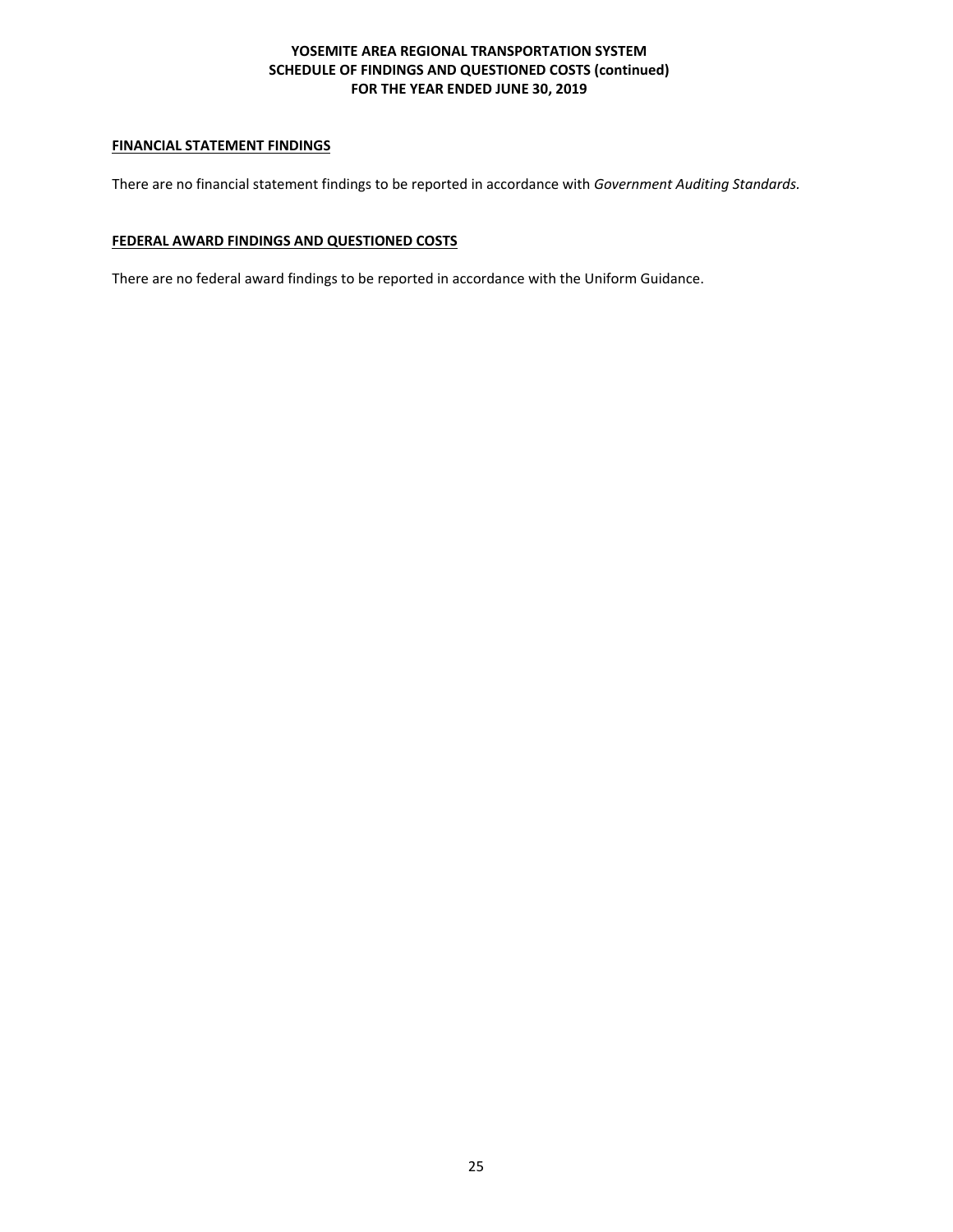## **YOSEMITE AREA REGIONAL TRANSPORTATION SYSTEM SCHEDULE OF FINDINGS AND QUESTIONED COSTS (continued) FOR THE YEAR ENDED JUNE 30, 2019**

### **FINANCIAL STATEMENT FINDINGS**

There are no financial statement findings to be reported in accordance with *Government Auditing Standards.*

## **FEDERAL AWARD FINDINGS AND QUESTIONED COSTS**

There are no federal award findings to be reported in accordance with the Uniform Guidance.